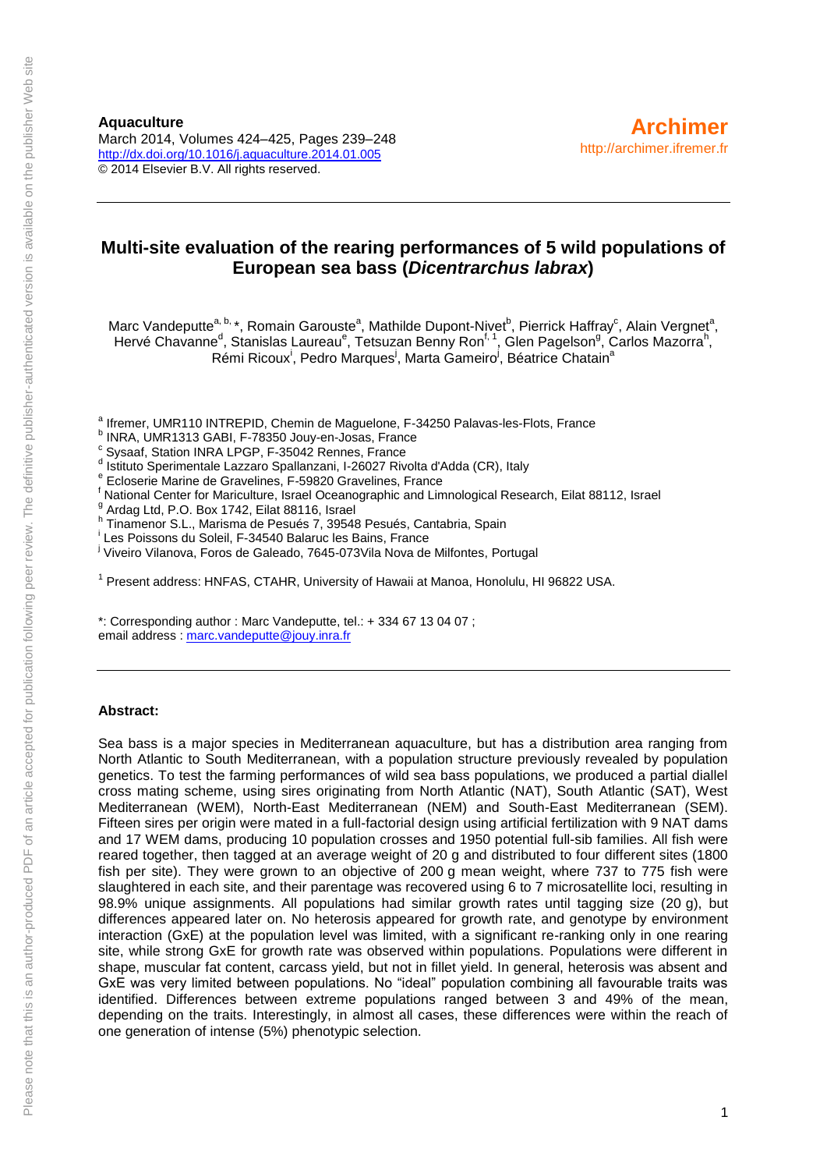**Aquaculture** March 2014, Volumes 424–425, Pages 239–248 <http://dx.doi.org/10.1016/j.aquaculture.2014.01.005> © 2014 Elsevier B.V. All rights reserved.

#### **Multi-site evaluation of the rearing performances of 5 wild populations of European sea bass (***Dicentrarchus labrax***)**

Marc Vandeputte<sup>a, b,</sup> \*, Romain Garouste<sup>a</sup>, Mathilde Dupont-Nivet<sup>b</sup>, Pierrick Haffray<sup>c</sup>, Alain Vergnet<sup>a</sup>, Hervé Chavanne<sup>d</sup>, Stanislas Laureau<sup>e</sup>, Tetsuzan Benny Ron<sup>f, 1</sup>, Glen Pagelson<sup>g</sup>, Carlos Mazorra<sup>h</sup>, Rémi Ricoux<sup>i</sup>, Pedro Marques<sup>i</sup>, Marta Gameiro<sup>j</sup>, Béatrice Chatain<sup>a</sup>

<sup>a</sup> Ifremer, UMR110 INTREPID, Chemin de Maguelone, F-34250 Palavas-les-Flots, France

b INRA, UMR1313 GABI, F-78350 Jouy-en-Josas, France

<sup>c</sup> Sysaaf, Station INRA LPGP, F-35042 Rennes, France

<sup>d</sup> Istituto Sperimentale Lazzaro Spallanzani, I-26027 Rivolta d'Adda (CR), Italy

e Ecloserie Marine de Gravelines, F-59820 Gravelines, France

<sup>f</sup> National Center for Mariculture, Israel Oceanographic and Limnological Research, Eilat 88112, Israel

<sup>g</sup> Ardag Ltd, P.O. Box 1742, Eilat 88116, Israel

h Tinamenor S.L., Marisma de Pesués 7, 39548 Pesués, Cantabria, Spain

i Les Poissons du Soleil, F-34540 Balaruc les Bains, France

<sup>i</sup> Viveiro Vilanova, Foros de Galeado, 7645-073Vila Nova de Milfontes, Portugal

<sup>1</sup> Present address: HNFAS, CTAHR, University of Hawaii at Manoa, Honolulu, HI 96822 USA.

\*: Corresponding author : Marc Vandeputte, tel.: + 334 67 13 04 07 ; email address : [marc.vandeputte@jouy.inra.fr](mailto:marc.vandeputte@jouy.inra.fr)

#### **Abstract:**

Sea bass is a major species in Mediterranean aquaculture, but has a distribution area ranging from North Atlantic to South Mediterranean, with a population structure previously revealed by population genetics. To test the farming performances of wild sea bass populations, we produced a partial diallel cross mating scheme, using sires originating from North Atlantic (NAT), South Atlantic (SAT), West Mediterranean (WEM), North-East Mediterranean (NEM) and South-East Mediterranean (SEM). Fifteen sires per origin were mated in a full-factorial design using artificial fertilization with 9 NAT dams and 17 WEM dams, producing 10 population crosses and 1950 potential full-sib families. All fish were reared together, then tagged at an average weight of 20 g and distributed to four different sites (1800 fish per site). They were grown to an objective of 200 g mean weight, where 737 to 775 fish were slaughtered in each site, and their parentage was recovered using 6 to 7 microsatellite loci, resulting in 98.9% unique assignments. All populations had similar growth rates until tagging size (20 g), but differences appeared later on. No heterosis appeared for growth rate, and genotype by environment interaction (GxE) at the population level was limited, with a significant re-ranking only in one rearing site, while strong GxE for growth rate was observed within populations. Populations were different in shape, muscular fat content, carcass yield, but not in fillet yield. In general, heterosis was absent and GxE was very limited between populations. No "ideal" population combining all favourable traits was identified. Differences between extreme populations ranged between 3 and 49% of the mean, depending on the traits. Interestingly, in almost all cases, these differences were within the reach of one generation of intense (5%) phenotypic selection.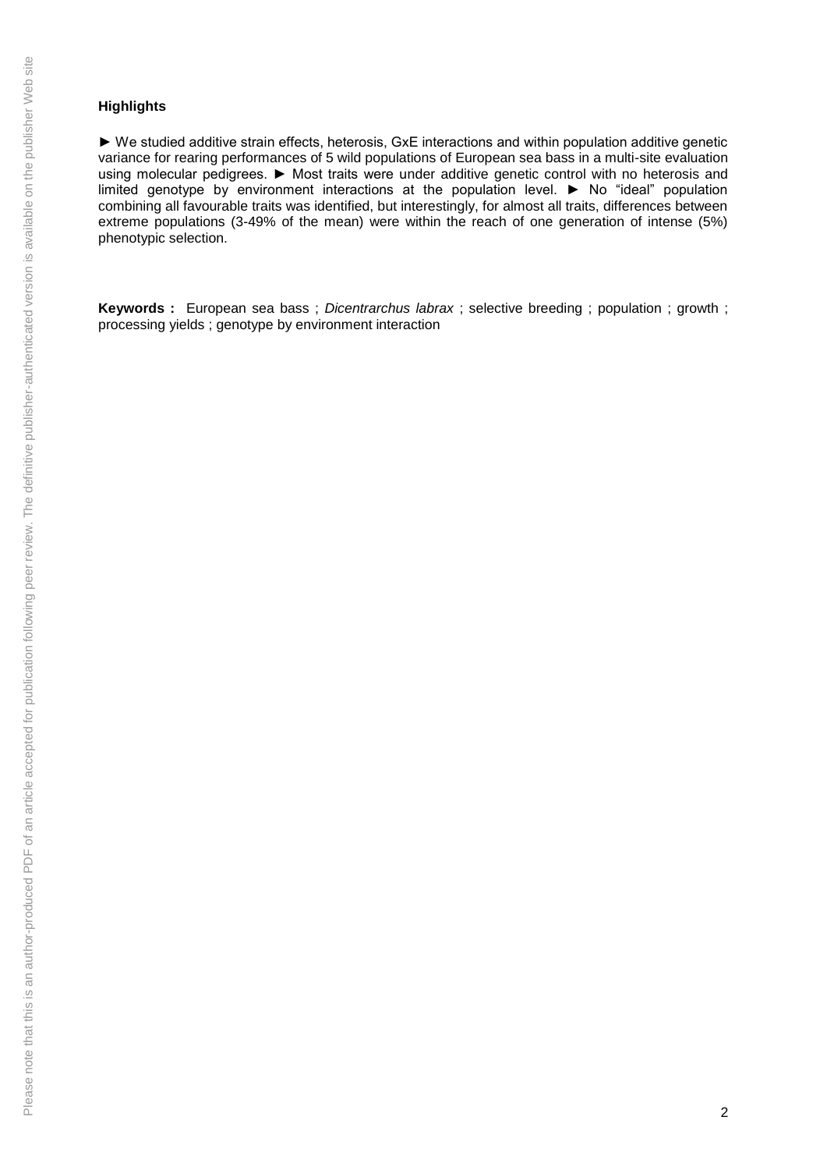#### **Highlights**

► We studied additive strain effects, heterosis, GxE interactions and within population additive genetic variance for rearing performances of 5 wild populations of European sea bass in a multi-site evaluation using molecular pedigrees. ► Most traits were under additive genetic control with no heterosis and limited genotype by environment interactions at the population level. ► No "ideal" population combining all favourable traits was identified, but interestingly, for almost all traits, differences between extreme populations (3-49% of the mean) were within the reach of one generation of intense (5%) phenotypic selection.

**Keywords :** European sea bass ; *Dicentrarchus labrax* ; selective breeding ; population ; growth ; processing yields ; genotype by environment interaction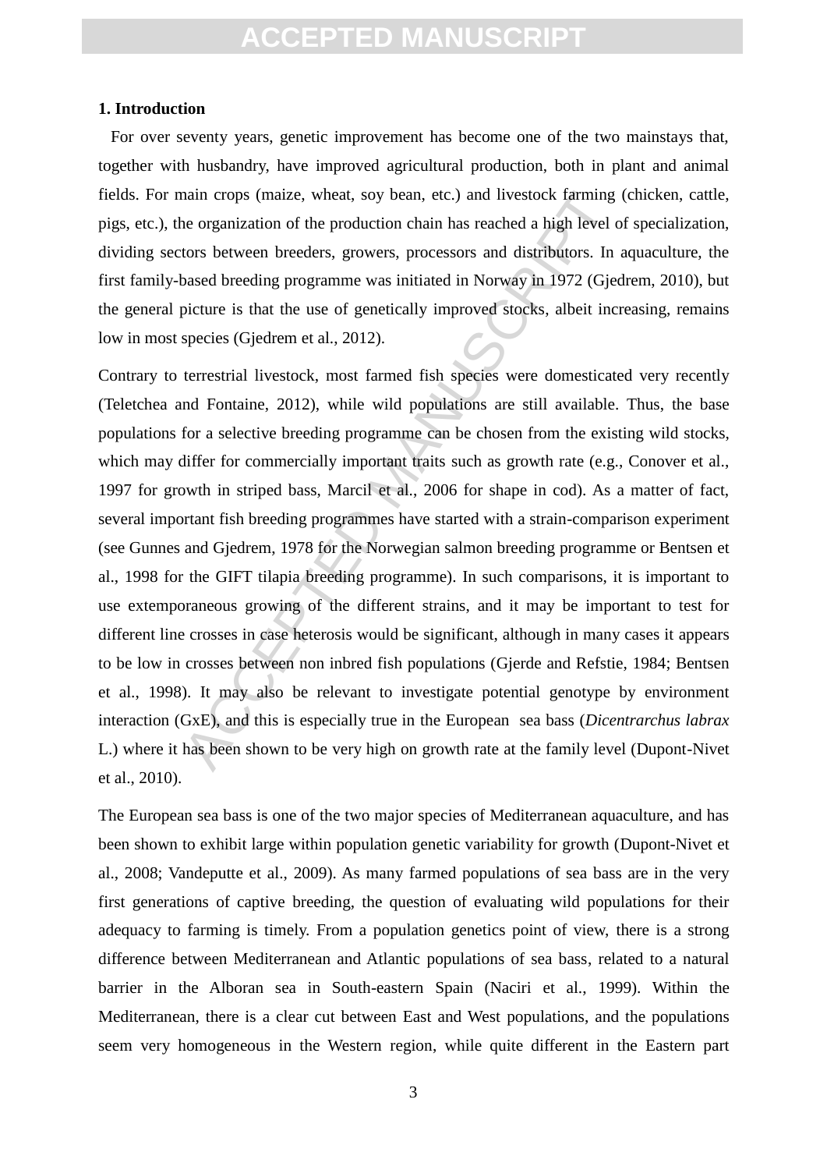#### **1. Introduction**

 For over seventy years, genetic improvement has become one of the two mainstays that, together with husbandry, have improved agricultural production, both in plant and animal fields. For main crops (maize, wheat, soy bean, etc.) and livestock farming (chicken, cattle, pigs, etc.), the organization of the production chain has reached a high level of specialization, dividing sectors between breeders, growers, processors and distributors. In aquaculture, the first family-based breeding programme was initiated in Norway in 1972 (Gjedrem, 2010), but the general picture is that the use of genetically improved stocks, albeit increasing, remains low in most species (Gjedrem et al., 2012).

main crops (maize, wheat, soy bean, etc.) and livestock farming<br>the organization of the production chain has reached a high level c<br>tors between breeders, growers, processors and distributors. In<br>based breeding programme w Contrary to terrestrial livestock, most farmed fish species were domesticated very recently (Teletchea and Fontaine, 2012), while wild populations are still available. Thus, the base populations for a selective breeding programme can be chosen from the existing wild stocks, which may differ for commercially important traits such as growth rate (e.g., Conover et al., 1997 for growth in striped bass, Marcil et al., 2006 for shape in cod). As a matter of fact, several important fish breeding programmes have started with a strain-comparison experiment (see Gunnes and Gjedrem, 1978 for the Norwegian salmon breeding programme or Bentsen et al., 1998 for the GIFT tilapia breeding programme). In such comparisons, it is important to use extemporaneous growing of the different strains, and it may be important to test for different line crosses in case heterosis would be significant, although in many cases it appears to be low in crosses between non inbred fish populations (Gjerde and Refstie, 1984; Bentsen et al., 1998). It may also be relevant to investigate potential genotype by environment interaction (GxE), and this is especially true in the European sea bass (*Dicentrarchus labrax*  L.) where it has been shown to be very high on growth rate at the family level (Dupont-Nivet et al., 2010).

The European sea bass is one of the two major species of Mediterranean aquaculture, and has been shown to exhibit large within population genetic variability for growth (Dupont-Nivet et al., 2008; Vandeputte et al., 2009). As many farmed populations of sea bass are in the very first generations of captive breeding, the question of evaluating wild populations for their adequacy to farming is timely. From a population genetics point of view, there is a strong difference between Mediterranean and Atlantic populations of sea bass, related to a natural barrier in the Alboran sea in South-eastern Spain (Naciri et al., 1999). Within the Mediterranean, there is a clear cut between East and West populations, and the populations seem very homogeneous in the Western region, while quite different in the Eastern part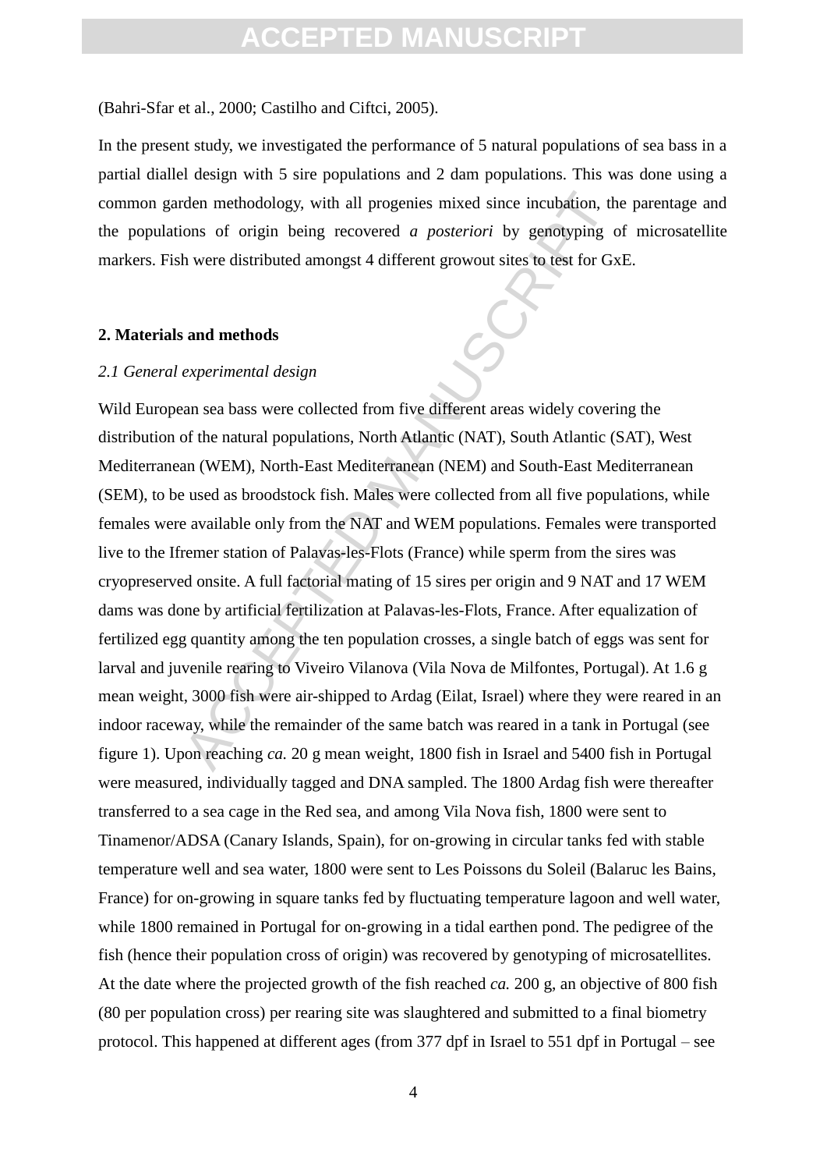(Bahri-Sfar et al., 2000; Castilho and Ciftci, 2005).

In the present study, we investigated the performance of 5 natural populations of sea bass in a partial diallel design with 5 sire populations and 2 dam populations. This was done using a common garden methodology, with all progenies mixed since incubation, the parentage and the populations of origin being recovered *a posteriori* by genotyping of microsatellite markers. Fish were distributed amongst 4 different growout sites to test for GxE.

#### **2. Materials and methods**

#### *2.1 General experimental design*

den methodology, with all progenies mixed since incubation, th<br>ons of origin being recovered *a posteriori* by genotyping of<br>h were distributed amongst 4 different growout sites to test for Gx<br>**and methods**<br>**experimental d** Wild European sea bass were collected from five different areas widely covering the distribution of the natural populations, North Atlantic (NAT), South Atlantic (SAT), West Mediterranean (WEM), North-East Mediterranean (NEM) and South-East Mediterranean (SEM), to be used as broodstock fish. Males were collected from all five populations, while females were available only from the NAT and WEM populations. Females were transported live to the Ifremer station of Palavas-les-Flots (France) while sperm from the sires was cryopreserved onsite. A full factorial mating of 15 sires per origin and 9 NAT and 17 WEM dams was done by artificial fertilization at Palavas-les-Flots, France. After equalization of fertilized egg quantity among the ten population crosses, a single batch of eggs was sent for larval and juvenile rearing to Viveiro Vilanova (Vila Nova de Milfontes, Portugal). At 1.6 g mean weight, 3000 fish were air-shipped to Ardag (Eilat, Israel) where they were reared in an indoor raceway, while the remainder of the same batch was reared in a tank in Portugal (see figure 1). Upon reaching *ca.* 20 g mean weight, 1800 fish in Israel and 5400 fish in Portugal were measured, individually tagged and DNA sampled. The 1800 Ardag fish were thereafter transferred to a sea cage in the Red sea, and among Vila Nova fish, 1800 were sent to Tinamenor/ADSA (Canary Islands, Spain), for on-growing in circular tanks fed with stable temperature well and sea water, 1800 were sent to Les Poissons du Soleil (Balaruc les Bains, France) for on-growing in square tanks fed by fluctuating temperature lagoon and well water, while 1800 remained in Portugal for on-growing in a tidal earthen pond. The pedigree of the fish (hence their population cross of origin) was recovered by genotyping of microsatellites. At the date where the projected growth of the fish reached *ca.* 200 g, an objective of 800 fish (80 per population cross) per rearing site was slaughtered and submitted to a final biometry protocol. This happened at different ages (from 377 dpf in Israel to 551 dpf in Portugal – see

4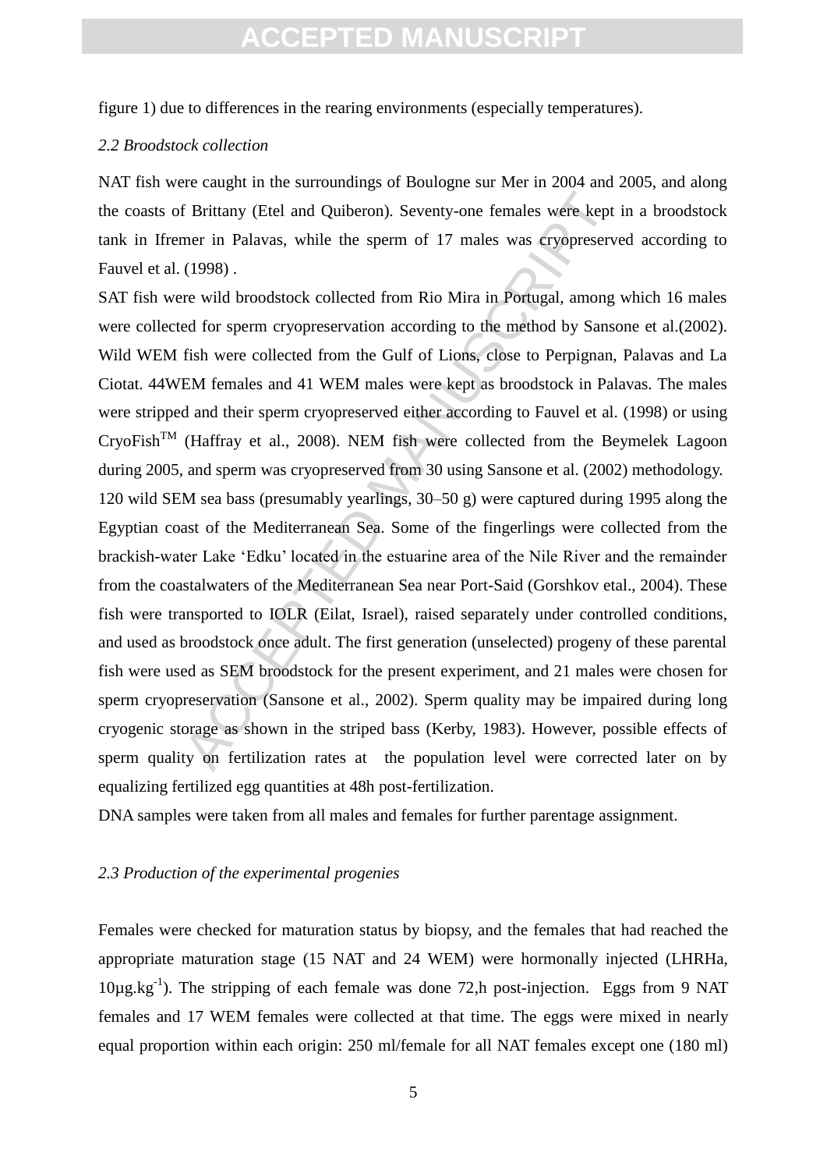figure 1) due to differences in the rearing environments (especially temperatures).

#### *2.2 Broodstock collection*

NAT fish were caught in the surroundings of Boulogne sur Mer in 2004 and 2005, and along the coasts of Brittany (Etel and Quiberon). Seventy-one females were kept in a broodstock tank in Ifremer in Palavas, while the sperm of 17 males was cryopreserved according to Fauvel et al. (1998) .

f Brittany (Etel and Quiberon). Seventy-one females were kept<br>mer in Palavas, while the sperm of 17 males was cryopreserve<br>(1998).<br>The wild broodstock collected from Rio Mira in Portugal, among<br>ed for sperm cryopreservatio SAT fish were wild broodstock collected from Rio Mira in Portugal, among which 16 males were collected for sperm cryopreservation according to the method by Sansone et al.(2002). Wild WEM fish were collected from the Gulf of Lions, close to Perpignan, Palavas and La Ciotat. 44WEM females and 41 WEM males were kept as broodstock in Palavas. The males were stripped and their sperm cryopreserved either according to Fauvel et al. (1998) or using  $CryoFish<sup>TM</sup>$  (Haffray et al., 2008). NEM fish were collected from the Beymelek Lagoon during 2005, and sperm was cryopreserved from 30 using Sansone et al. (2002) methodology. 120 wild SEM sea bass (presumably yearlings, 30–50 g) were captured during 1995 along the Egyptian coast of the Mediterranean Sea. Some of the fingerlings were collected from the brackish-water Lake 'Edku' located in the estuarine area of the Nile River and the remainder from the coastalwaters of the Mediterranean Sea near Port-Said (Gorshkov etal., 2004). These fish were transported to IOLR (Eilat, Israel), raised separately under controlled conditions, and used as broodstock once adult. The first generation (unselected) progeny of these parental fish were used as SEM broodstock for the present experiment, and 21 males were chosen for sperm cryopreservation (Sansone et al., 2002). Sperm quality may be impaired during long cryogenic storage as shown in the striped bass (Kerby, 1983). However, possible effects of sperm quality on fertilization rates at the population level were corrected later on by equalizing fertilized egg quantities at 48h post-fertilization.

DNA samples were taken from all males and females for further parentage assignment.

#### *2.3 Production of the experimental progenies*

Females were checked for maturation status by biopsy, and the females that had reached the appropriate maturation stage (15 NAT and 24 WEM) were hormonally injected (LHRHa,  $10\mu$ g.kg<sup>-1</sup>). The stripping of each female was done 72,h post-injection. Eggs from 9 NAT females and 17 WEM females were collected at that time. The eggs were mixed in nearly equal proportion within each origin: 250 ml/female for all NAT females except one (180 ml)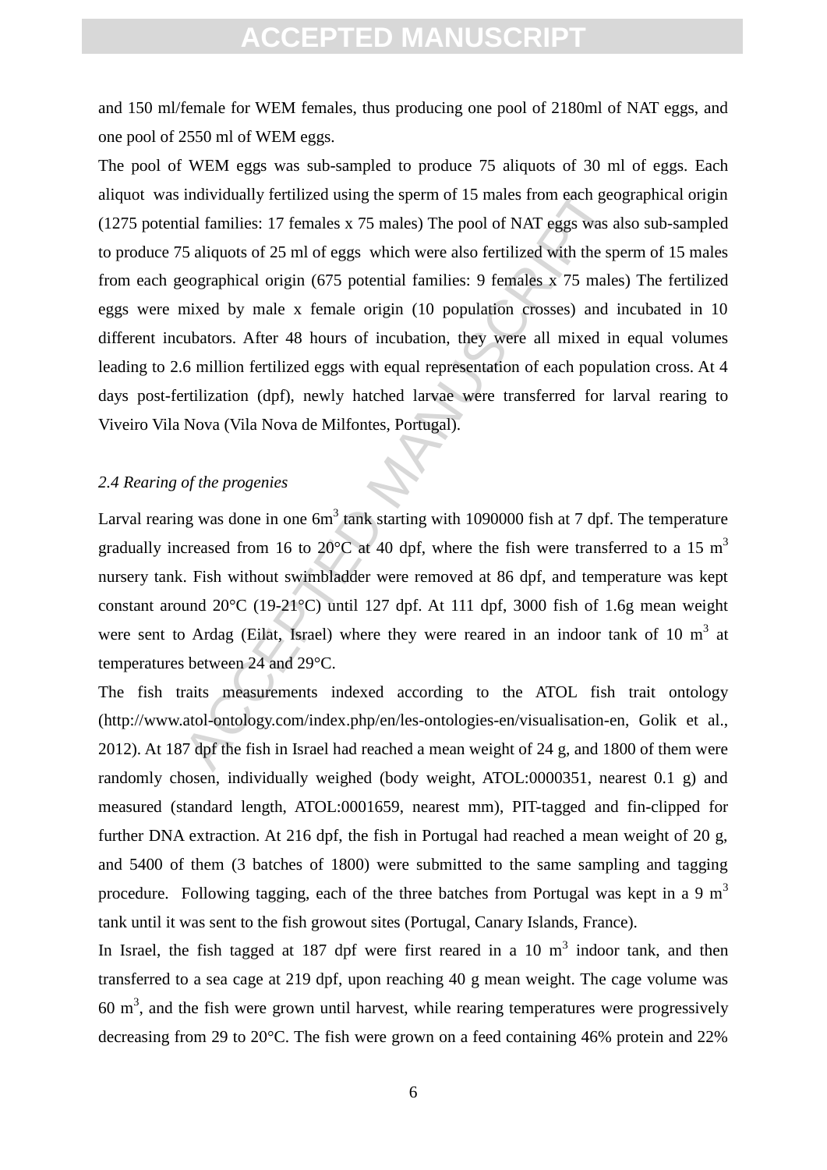and 150 ml/female for WEM females, thus producing one pool of 2180ml of NAT eggs, and one pool of 2550 ml of WEM eggs.

individually fertilized using the sperm of 15 males from each georial families: 17 females  $x$  75 males) The pool of NAT eggs was a 5 aliquots of 25 ml of eggs which were also fertilized with the sp eographical origin (67 The pool of WEM eggs was sub-sampled to produce 75 aliquots of 30 ml of eggs. Each aliquot was individually fertilized using the sperm of 15 males from each geographical origin (1275 potential families: 17 females x 75 males) The pool of NAT eggs was also sub-sampled to produce 75 aliquots of 25 ml of eggs which were also fertilized with the sperm of 15 males from each geographical origin (675 potential families: 9 females x 75 males) The fertilized eggs were mixed by male x female origin (10 population crosses) and incubated in 10 different incubators. After 48 hours of incubation, they were all mixed in equal volumes leading to 2.6 million fertilized eggs with equal representation of each population cross. At 4 days post-fertilization (dpf), newly hatched larvae were transferred for larval rearing to Viveiro Vila Nova (Vila Nova de Milfontes, Portugal).

#### *2.4 Rearing of the progenies*

Larval rearing was done in one  $6m<sup>3</sup>$  tank starting with 1090000 fish at 7 dpf. The temperature gradually increased from 16 to 20 $\degree$ C at 40 dpf, where the fish were transferred to a 15 m<sup>3</sup> nursery tank. Fish without swimbladder were removed at 86 dpf, and temperature was kept constant around 20°C (19-21°C) until 127 dpf. At 111 dpf, 3000 fish of 1.6g mean weight were sent to Ardag (Eilat, Israel) where they were reared in an indoor tank of 10  $m<sup>3</sup>$  at temperatures between 24 and 29°C.

The fish traits measurements indexed according to the ATOL fish trait ontology (http://www.atol-ontology.com/index.php/en/les-ontologies-en/visualisation-en, Golik et al., 2012). At 187 dpf the fish in Israel had reached a mean weight of 24 g, and 1800 of them were randomly chosen, individually weighed (body weight, ATOL:0000351, nearest 0.1 g) and measured (standard length, ATOL:0001659, nearest mm), PIT-tagged and fin-clipped for further DNA extraction. At 216 dpf, the fish in Portugal had reached a mean weight of 20 g, and 5400 of them (3 batches of 1800) were submitted to the same sampling and tagging procedure. Following tagging, each of the three batches from Portugal was kept in a 9  $m<sup>3</sup>$ tank until it was sent to the fish growout sites (Portugal, Canary Islands, France).

In Israel, the fish tagged at 187 dpf were first reared in a 10  $m<sup>3</sup>$  indoor tank, and then transferred to a sea cage at 219 dpf, upon reaching 40 g mean weight. The cage volume was 60  $\text{m}^3$ , and the fish were grown until harvest, while rearing temperatures were progressively decreasing from 29 to 20°C. The fish were grown on a feed containing 46% protein and 22%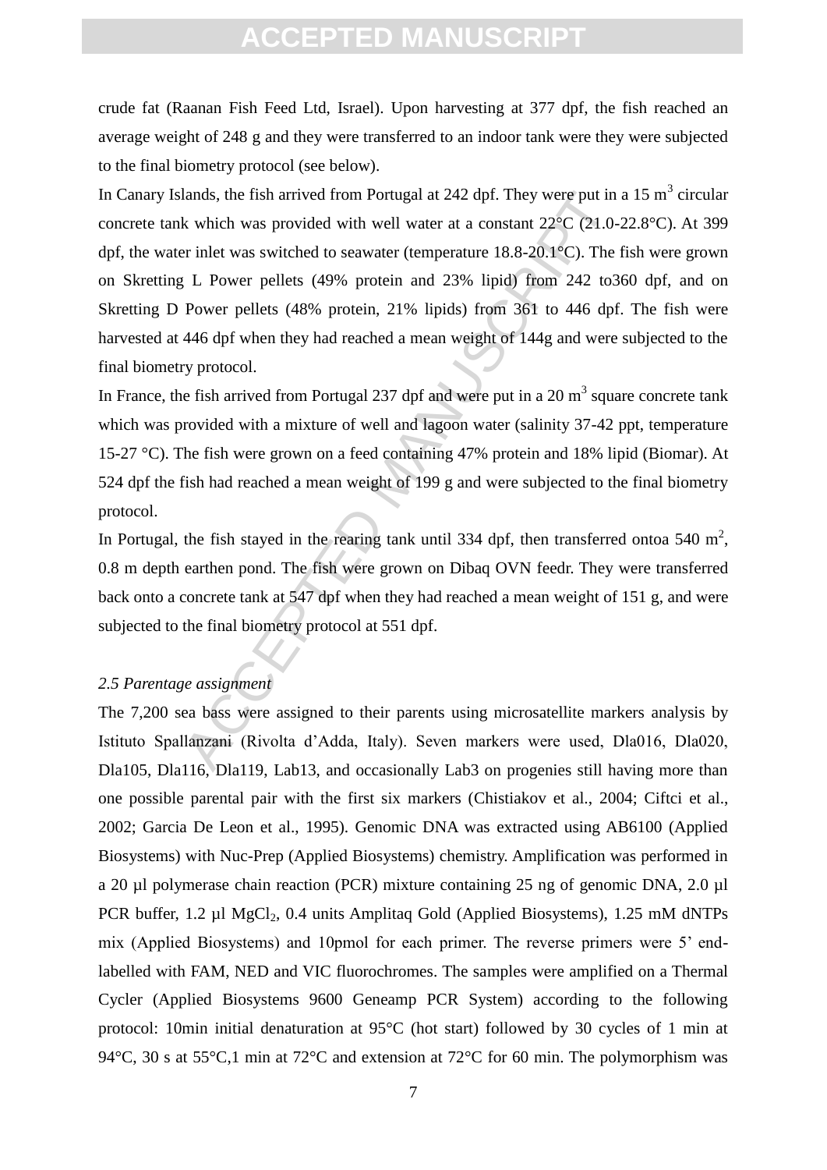crude fat (Raanan Fish Feed Ltd, Israel). Upon harvesting at 377 dpf, the fish reached an average weight of 248 g and they were transferred to an indoor tank were they were subjected to the final biometry protocol (see below).

lands, the fish arrived from Portugal at 242 dpf. They were put in<br>
k which was provided with well water at a constant 22°C (21.0-<br>
er inlet was switched to seawater (temperature 18.8-20.1°C). The<br>
L Power pellets (49% pr In Canary Islands, the fish arrived from Portugal at 242 dpf. They were put in a 15  $m<sup>3</sup>$  circular concrete tank which was provided with well water at a constant 22°C (21.0-22.8°C). At 399 dpf, the water inlet was switched to seawater (temperature 18.8-20.1°C). The fish were grown on Skretting L Power pellets (49% protein and 23% lipid) from 242 to360 dpf, and on Skretting D Power pellets (48% protein, 21% lipids) from 361 to 446 dpf. The fish were harvested at 446 dpf when they had reached a mean weight of 144g and were subjected to the final biometry protocol.

In France, the fish arrived from Portugal 237 dpf and were put in a 20  $m<sup>3</sup>$  square concrete tank which was provided with a mixture of well and lagoon water (salinity 37-42 ppt, temperature 15-27 °C). The fish were grown on a feed containing 47% protein and 18% lipid (Biomar). At 524 dpf the fish had reached a mean weight of 199 g and were subjected to the final biometry protocol.

In Portugal, the fish stayed in the rearing tank until 334 dpf, then transferred ontoa 540  $m^2$ , 0.8 m depth earthen pond. The fish were grown on Dibaq OVN feedr. They were transferred back onto a concrete tank at 547 dpf when they had reached a mean weight of 151 g, and were subjected to the final biometry protocol at 551 dpf.

#### *2.5 Parentage assignment*

The 7,200 sea bass were assigned to their parents using microsatellite markers analysis by Istituto Spallanzani (Rivolta d'Adda, Italy). Seven markers were used, Dla016, Dla020, Dla105, Dla116, Dla119, Lab13, and occasionally Lab3 on progenies still having more than one possible parental pair with the first six markers (Chistiakov et al., 2004; Ciftci et al., 2002; Garcia De Leon et al., 1995). Genomic DNA was extracted using AB6100 (Applied Biosystems) with Nuc-Prep (Applied Biosystems) chemistry. Amplification was performed in a 20 µl polymerase chain reaction (PCR) mixture containing 25 ng of genomic DNA, 2.0 µl PCR buffer,  $1.2 \mu$ l MgCl<sub>2</sub>,  $0.4 \text{ units}$  Amplitaq Gold (Applied Biosystems),  $1.25 \text{ mM dNTPs}$ mix (Applied Biosystems) and 10pmol for each primer. The reverse primers were 5' endlabelled with FAM, NED and VIC fluorochromes. The samples were amplified on a Thermal Cycler (Applied Biosystems 9600 Geneamp PCR System) according to the following protocol: 10min initial denaturation at 95°C (hot start) followed by 30 cycles of 1 min at 94 $^{\circ}$ C, 30 s at 55 $^{\circ}$ C,1 min at 72 $^{\circ}$ C and extension at 72 $^{\circ}$ C for 60 min. The polymorphism was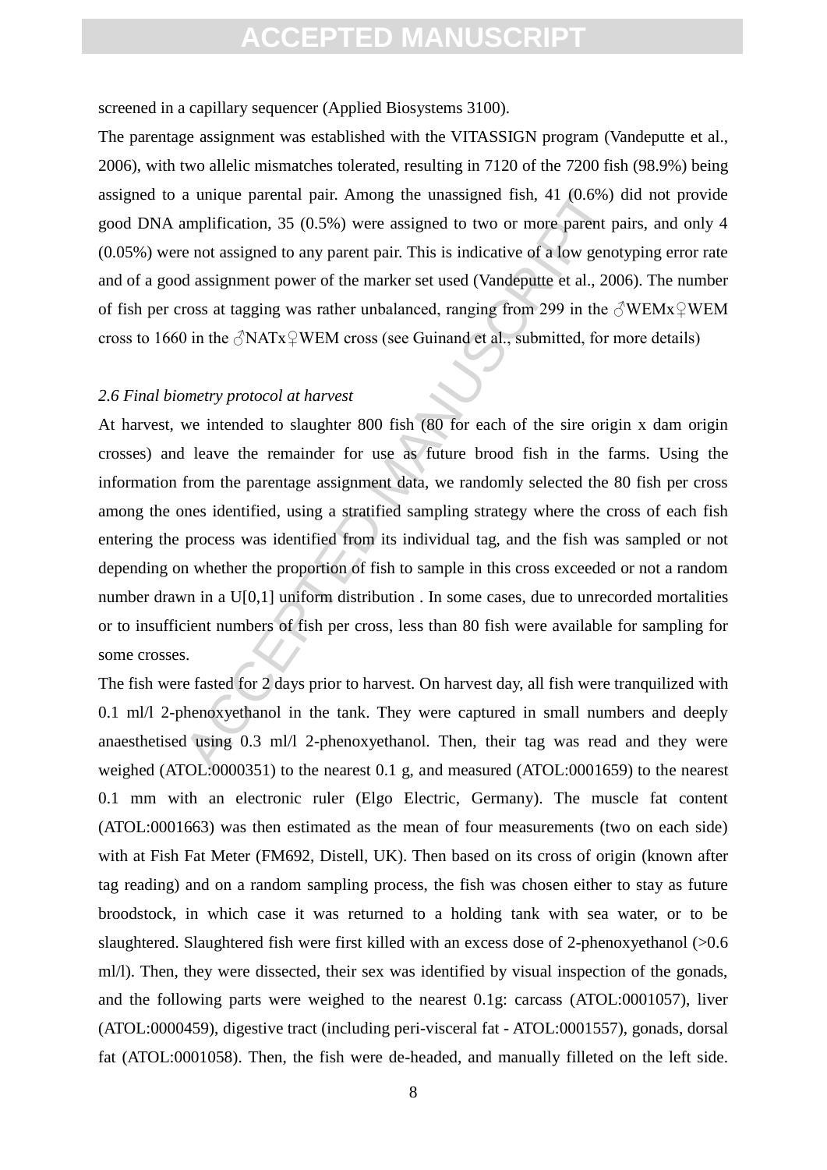screened in a capillary sequencer (Applied Biosystems 3100).

The parentage assignment was established with the VITASSIGN program (Vandeputte et al., 2006), with two allelic mismatches tolerated, resulting in 7120 of the 7200 fish (98.9%) being assigned to a unique parental pair. Among the unassigned fish, 41 (0.6%) did not provide good DNA amplification, 35 (0.5%) were assigned to two or more parent pairs, and only 4 (0.05%) were not assigned to any parent pair. This is indicative of a low genotyping error rate and of a good assignment power of the marker set used (Vandeputte et al., 2006). The number of fish per cross at tagging was rather unbalanced, ranging from 299 in the  $\Diamond$ WEMx $\Diamond$ WEM cross to 1660 in the  $\sqrt{\text{NATx}}$  WEM cross (see Guinand et al., submitted, for more details)

#### *2.6 Final biometry protocol at harvest*

a unique parental pair. Among the unassigned fish, 41 (0.6%)<br>amplification, 35 (0.5%) were assigned to two or more parent p<br>e not assigned to any parent pair. This is indicative of a low geno<br>d assignment power of the mar At harvest, we intended to slaughter 800 fish (80 for each of the sire origin x dam origin crosses) and leave the remainder for use as future brood fish in the farms. Using the information from the parentage assignment data, we randomly selected the 80 fish per cross among the ones identified, using a stratified sampling strategy where the cross of each fish entering the process was identified from its individual tag, and the fish was sampled or not depending on whether the proportion of fish to sample in this cross exceeded or not a random number drawn in a U[0,1] uniform distribution . In some cases, due to unrecorded mortalities or to insufficient numbers of fish per cross, less than 80 fish were available for sampling for some crosses.

The fish were fasted for 2 days prior to harvest. On harvest day, all fish were tranquilized with 0.1 ml/l 2-phenoxyethanol in the tank. They were captured in small numbers and deeply anaesthetised using 0.3 ml/l 2-phenoxyethanol. Then, their tag was read and they were weighed (ATOL:0000351) to the nearest 0.1 g, and measured (ATOL:0001659) to the nearest 0.1 mm with an electronic ruler (Elgo Electric, Germany). The muscle fat content (ATOL:0001663) was then estimated as the mean of four measurements (two on each side) with at Fish Fat Meter (FM692, Distell, UK). Then based on its cross of origin (known after tag reading) and on a random sampling process, the fish was chosen either to stay as future broodstock, in which case it was returned to a holding tank with sea water, or to be slaughtered. Slaughtered fish were first killed with an excess dose of 2-phenoxyethanol (>0.6 ml/l). Then, they were dissected, their sex was identified by visual inspection of the gonads, and the following parts were weighed to the nearest 0.1g: carcass (ATOL:0001057), liver (ATOL:0000459), digestive tract (including peri-visceral fat - ATOL:0001557), gonads, dorsal fat (ATOL:0001058). Then, the fish were de-headed, and manually filleted on the left side.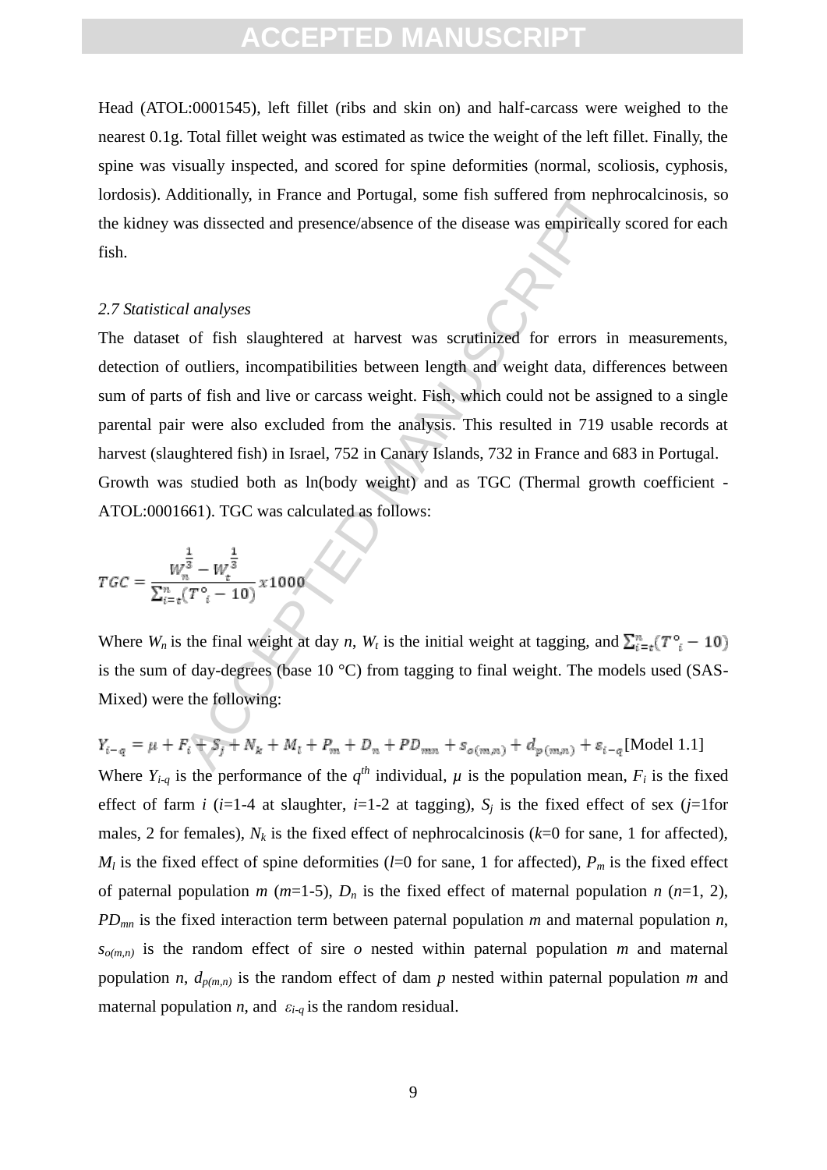Head (ATOL:0001545), left fillet (ribs and skin on) and half-carcass were weighed to the nearest 0.1g. Total fillet weight was estimated as twice the weight of the left fillet. Finally, the spine was visually inspected, and scored for spine deformities (normal, scoliosis, cyphosis, lordosis). Additionally, in France and Portugal, some fish suffered from nephrocalcinosis, so the kidney was dissected and presence/absence of the disease was empirically scored for each fish.

#### *2.7 Statistical analyses*

dditionally, in France and Portugal, some fish suffered from nept<br>as dissected and presence/absence of the disease was empirically<br>al analyses<br>of fish slaughtered at harvest was scrutinized for errors in<br>outliers, incompa The dataset of fish slaughtered at harvest was scrutinized for errors in measurements, detection of outliers, incompatibilities between length and weight data, differences between sum of parts of fish and live or carcass weight. Fish, which could not be assigned to a single parental pair were also excluded from the analysis. This resulted in 719 usable records at harvest (slaughtered fish) in Israel, 752 in Canary Islands, 732 in France and 683 in Portugal. Growth was studied both as ln(body weight) and as TGC (Thermal growth coefficient - ATOL:0001661). TGC was calculated as follows:

$$
TGC = \frac{W_n^{\frac{1}{3}} - W_t^{\frac{1}{3}}}{\sum_{i=t}^n (T_{i}^{\circ} - 10)} \times 1000
$$

Where  $W_n$  is the final weight at day *n*,  $W_t$  is the initial weight at tagging, and  $\sum_{i=t}^{n} (T_i^o - 10)$ is the sum of day-degrees (base 10 °C) from tagging to final weight. The models used (SAS-Mixed) were the following:

 $Y_{i-q} = \mu + F_i + S_j + N_k + M_l + P_m + D_n + PD_{mn} + S_{o(m,n)} + d_{p(m,n)} + \varepsilon_{i-q}$ [Model 1.1] Where  $Y_{i-q}$  is the performance of the  $q^{th}$  individual,  $\mu$  is the population mean,  $F_i$  is the fixed effect of farm *i* ( $i=1-4$  at slaughter,  $i=1-2$  at tagging),  $S_i$  is the fixed effect of sex ( $j=1$ for males, 2 for females),  $N_k$  is the fixed effect of nephrocalcinosis ( $k=0$  for sane, 1 for affected),  $M_l$  is the fixed effect of spine deformities (*l*=0 for sane, 1 for affected),  $P_m$  is the fixed effect of paternal population *m* ( $m=1-5$ ),  $D_n$  is the fixed effect of maternal population *n* ( $n=1, 2$ ), *PDmn* is the fixed interaction term between paternal population *m* and maternal population *n*,  $s_{o(m,n)}$  is the random effect of sire  $o$  nested within paternal population *m* and maternal population *n*,  $d_{p(m,n)}$  is the random effect of dam *p* nested within paternal population *m* and maternal population *n*, and  $\varepsilon_{i-q}$  is the random residual.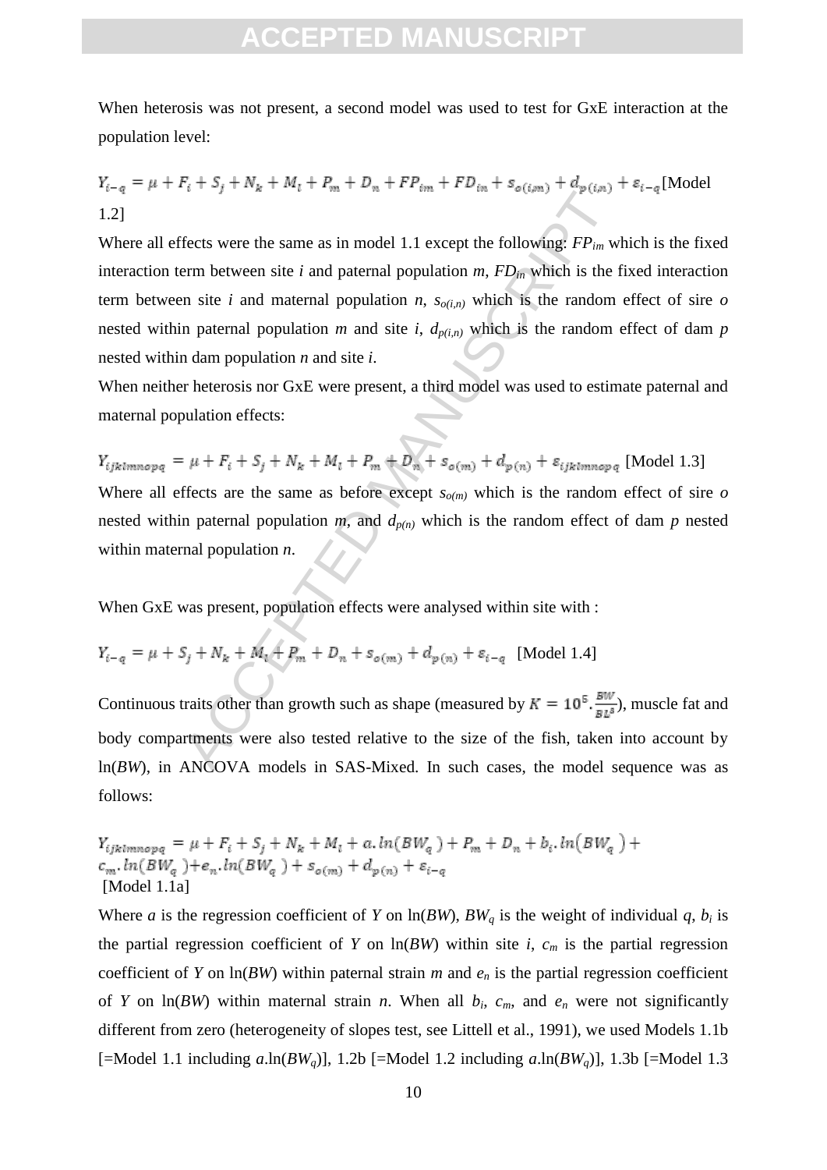When heterosis was not present, a second model was used to test for GxE interaction at the population level:

$$
Y_{i-q} = \mu + F_i + S_j + N_k + M_l + P_m + D_n + FP_{im} + FD_{in} + s_{o(i,m)} + d_{p(i,n)} + s_{i-q}
$$
[Model 1.2]

Fects were the same as in model 1.1 except the following:  $FP_{lm}$  were the same as in model 1.1 except the following:  $FP_{lm}$  were the site *i* and maternal population *n*,  $s_{o(t,n)}$  which is the random n paternal population Where all effects were the same as in model 1.1 except the following: *FPim* which is the fixed interaction term between site *i* and paternal population  $m$ ,  $FD_{in}$  which is the fixed interaction term between site *i* and maternal population *n*,  $s_{o(i,n)}$  which is the random effect of sire *o* nested within paternal population *m* and site *i*,  $d_{p(i,n)}$  which is the random effect of dam *p* nested within dam population *n* and site *i*.

When neither heterosis nor GxE were present, a third model was used to estimate paternal and maternal population effects:

 $Y_{ijklmnopq} = \mu + F_i + S_j + N_k + M_l + P_m + D_n + S_{o(m)} + d_{p(n)} + \varepsilon_{ijklmnopq}$  [Model 1.3] Where all effects are the same as before except  $s_{o(m)}$  which is the random effect of sire  $o$ nested within paternal population  $m$ , and  $d_{p(n)}$  which is the random effect of dam  $p$  nested within maternal population *n*.

When GxE was present, population effects were analysed within site with :

$$
Y_{i-q} = \mu + S_j + N_k + M_i + P_m + D_n + s_{o(m)} + d_{p(n)} + \varepsilon_{i-q}
$$
 [Model 1.4]

Continuous traits other than growth such as shape (measured by  $K = 10^5 \frac{BW}{RI^3}$ ), muscle fat and body compartments were also tested relative to the size of the fish, taken into account by  $ln(BW)$ , in ANCOVA models in SAS-Mixed. In such cases, the model sequence was as follows:

$$
Y_{ijklmnopq} = \mu + F_i + S_j + N_k + M_l + a \cdot ln(BW_q) + P_m + D_n + b_i \cdot ln(BW_q) + c_m \cdot ln(BW_q) + e_n \cdot ln(BW_q) + s_{o(m)} + d_{p(n)} + \varepsilon_{i-q}
$$
  
[Model 1.1a]

Where *a* is the regression coefficient of *Y* on  $\ln(BW)$ ,  $BW_q$  is the weight of individual *q*, *b<sub>i</sub>* is the partial regression coefficient of *Y* on  $\ln(BW)$  within site *i*,  $c_m$  is the partial regression coefficient of *Y* on  $\ln(BW)$  within paternal strain *m* and  $e_n$  is the partial regression coefficient of *Y* on  $\ln(BW)$  within maternal strain *n*. When all  $b_i$ ,  $c_m$ , and  $e_n$  were not significantly different from zero (heterogeneity of slopes test, see Littell et al., 1991), we used Models 1.1b [=Model 1.1 including  $a.\ln(BW_a)$ ], 1.2b [=Model 1.2 including  $a.\ln(BW_a)$ ], 1.3b [=Model 1.3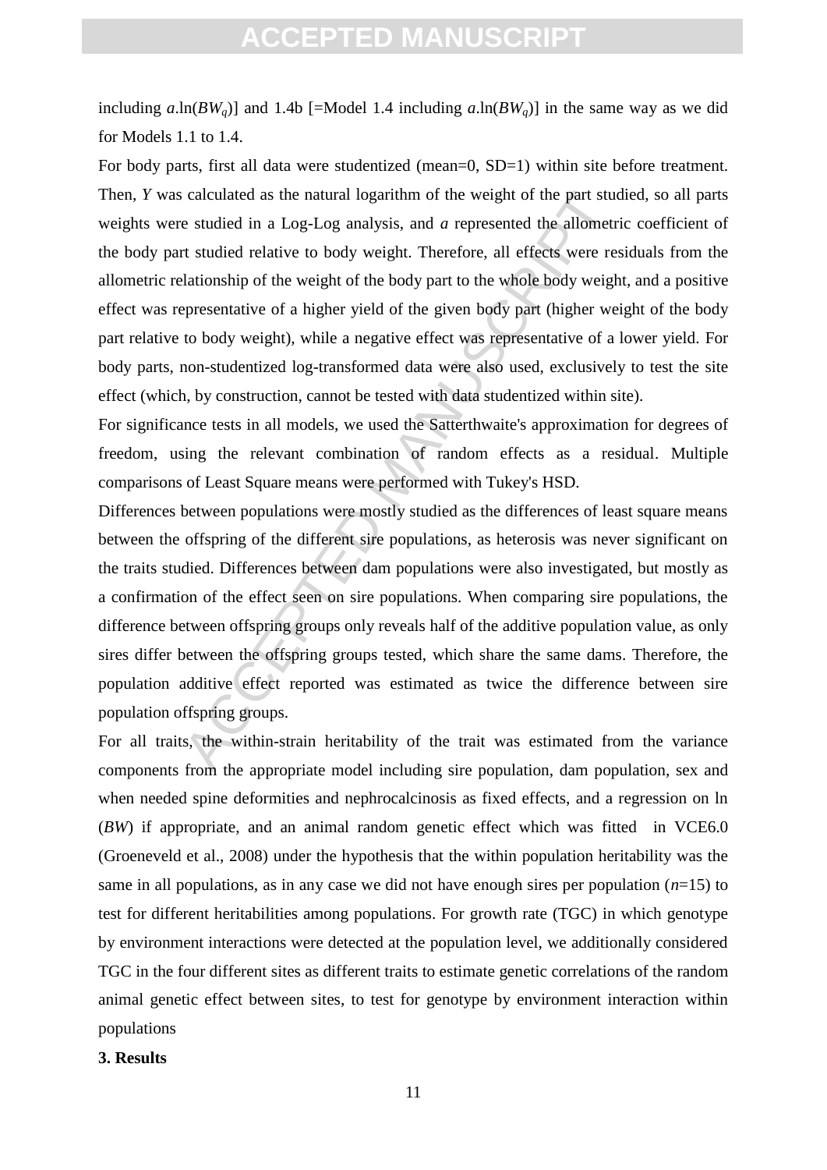including  $a.\ln(BW_a)$  and 1.4b [=Model 1.4 including  $a.\ln(BW_a)$ ] in the same way as we did for Models 1.1 to 1.4.

For body parts, first all data were studentized (mean=0, SD=1) within site before treatment. Then, *Y* was calculated as the natural logarithm of the weight of the part studied, so all parts weights were studied in a Log-Log analysis, and *a* represented the allometric coefficient of the body part studied relative to body weight. Therefore, all effects were residuals from the allometric relationship of the weight of the body part to the whole body weight, and a positive effect was representative of a higher yield of the given body part (higher weight of the body part relative to body weight), while a negative effect was representative of a lower yield. For body parts, non-studentized log-transformed data were also used, exclusively to test the site effect (which, by construction, cannot be tested with data studentized within site).

For significance tests in all models, we used the Satterthwaite's approximation for degrees of freedom, using the relevant combination of random effects as a residual. Multiple comparisons of Least Square means were performed with Tukey's HSD.

calculated as the natural logarithm of the weight of the part student<br>e studied in a Log-Log analysis, and *a* represented the allometr<br>t studied relative to body weight. Therefore, all effects were res<br>lationship of the w Differences between populations were mostly studied as the differences of least square means between the offspring of the different sire populations, as heterosis was never significant on the traits studied. Differences between dam populations were also investigated, but mostly as a confirmation of the effect seen on sire populations. When comparing sire populations, the difference between offspring groups only reveals half of the additive population value, as only sires differ between the offspring groups tested, which share the same dams. Therefore, the population additive effect reported was estimated as twice the difference between sire population offspring groups.

For all traits, the within-strain heritability of the trait was estimated from the variance components from the appropriate model including sire population, dam population, sex and when needed spine deformities and nephrocalcinosis as fixed effects, and a regression on ln (*BW*) if appropriate, and an animal random genetic effect which was fitted in VCE6.0 (Groeneveld et al., 2008) under the hypothesis that the within population heritability was the same in all populations, as in any case we did not have enough sires per population  $(n=15)$  to test for different heritabilities among populations. For growth rate (TGC) in which genotype by environment interactions were detected at the population level, we additionally considered TGC in the four different sites as different traits to estimate genetic correlations of the random animal genetic effect between sites, to test for genotype by environment interaction within populations

#### **3. Results**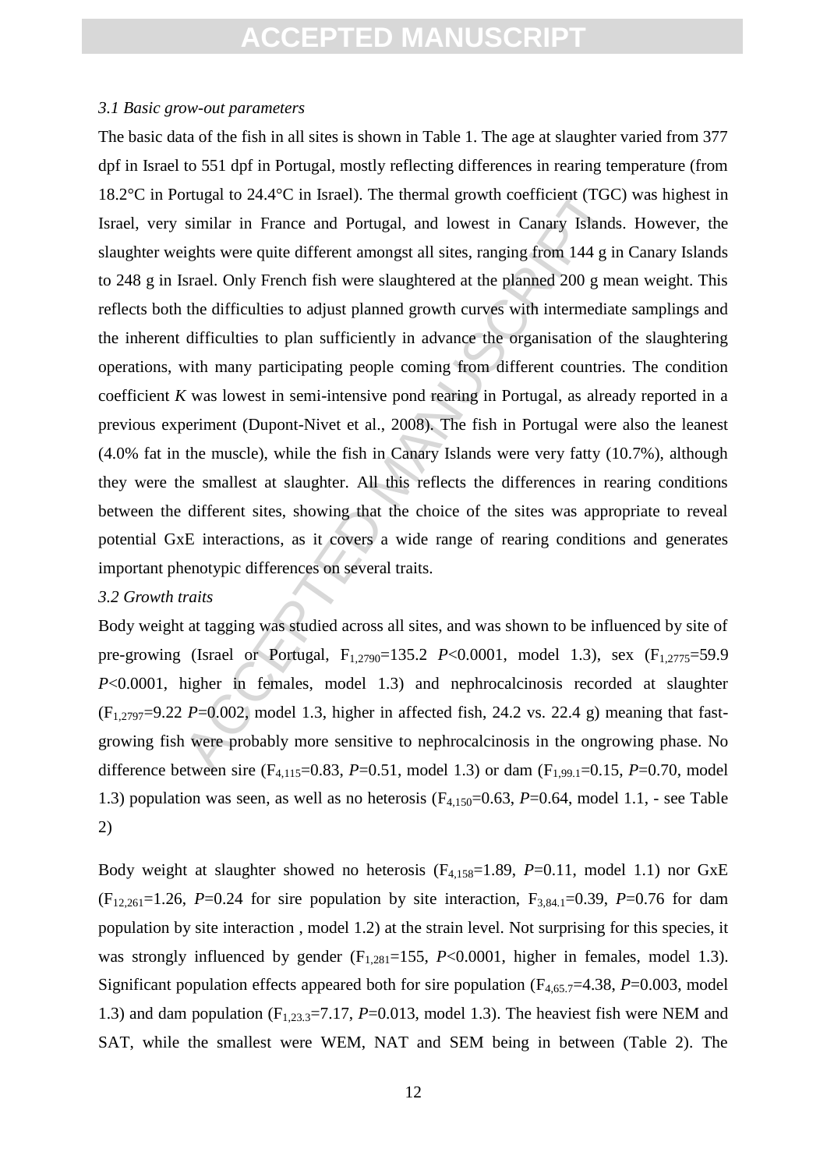#### *3.1 Basic grow-out parameters*

ortugal to 24.4°C in Israel). The thermal growth coefficient (TGC<br>similar in France and Portugal, and lowest in Canary Islands<br>ights were quite different amongst all sites, ranging from 144 g in<br>srael. Only French fish we The basic data of the fish in all sites is shown in Table 1. The age at slaughter varied from 377 dpf in Israel to 551 dpf in Portugal, mostly reflecting differences in rearing temperature (from 18.2°C in Portugal to 24.4°C in Israel). The thermal growth coefficient (TGC) was highest in Israel, very similar in France and Portugal, and lowest in Canary Islands. However, the slaughter weights were quite different amongst all sites, ranging from 144 g in Canary Islands to 248 g in Israel. Only French fish were slaughtered at the planned 200 g mean weight. This reflects both the difficulties to adjust planned growth curves with intermediate samplings and the inherent difficulties to plan sufficiently in advance the organisation of the slaughtering operations, with many participating people coming from different countries. The condition coefficient *K* was lowest in semi-intensive pond rearing in Portugal, as already reported in a previous experiment (Dupont-Nivet et al., 2008). The fish in Portugal were also the leanest (4.0% fat in the muscle), while the fish in Canary Islands were very fatty (10.7%), although they were the smallest at slaughter. All this reflects the differences in rearing conditions between the different sites, showing that the choice of the sites was appropriate to reveal potential GxE interactions, as it covers a wide range of rearing conditions and generates important phenotypic differences on several traits.

#### *3.2 Growth traits*

Body weight at tagging was studied across all sites, and was shown to be influenced by site of pre-growing (Israel or Portugal, F<sub>1,2790</sub>=135.2 *P*<0.0001, model 1.3), sex (F<sub>1,2775</sub>=59.9 *P*<0.0001, higher in females, model 1.3) and nephrocalcinosis recorded at slaughter  $(F_{1,2797}=9.22 \text{ P} = 0.002$ , model 1.3, higher in affected fish, 24.2 vs. 22.4 g) meaning that fastgrowing fish were probably more sensitive to nephrocalcinosis in the ongrowing phase. No difference between sire ( $F_{4,115}=0.83$ ,  $P=0.51$ , model 1.3) or dam ( $F_{1,99,1}=0.15$ ,  $P=0.70$ , model 1.3) population was seen, as well as no heterosis (F4,150=0.63, *P*=0.64, model 1.1, - see Table 2)

Body weight at slaughter showed no heterosis (F4,158=1.89, *P*=0.11, model 1.1) nor GxE  $(F_{12,261}=1.26, P=0.24$  for sire population by site interaction,  $F_{3,84,1}=0.39, P=0.76$  for dam population by site interaction , model 1.2) at the strain level. Not surprising for this species, it was strongly influenced by gender  $(F_{1,281}=155, P<0.0001,$  higher in females, model 1.3). Significant population effects appeared both for sire population  $(F_{4,65,7}=4.38, P=0.003, \text{ model}$ 1.3) and dam population  $(F_{1,23,3}=7.17, P=0.013, \text{ model } 1.3)$ . The heaviest fish were NEM and SAT, while the smallest were WEM, NAT and SEM being in between (Table 2). The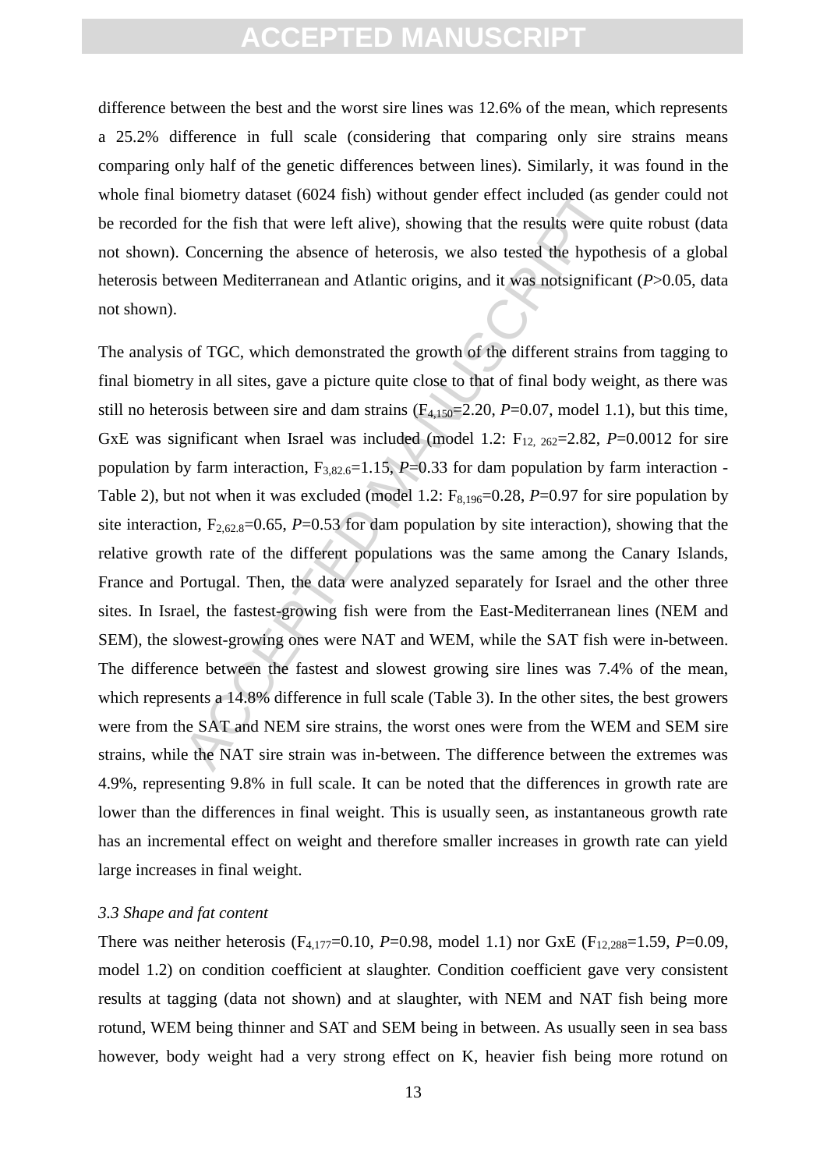difference between the best and the worst sire lines was 12.6% of the mean, which represents a 25.2% difference in full scale (considering that comparing only sire strains means comparing only half of the genetic differences between lines). Similarly, it was found in the whole final biometry dataset (6024 fish) without gender effect included (as gender could not be recorded for the fish that were left alive), showing that the results were quite robust (data not shown). Concerning the absence of heterosis, we also tested the hypothesis of a global heterosis between Mediterranean and Atlantic origins, and it was notsignificant (*P*>0.05, data not shown).

biometry dataset (6024 fish) without gender effect included (as g<br>for the fish that were left alive), showing that the results were qu<br>Concerning the absence of heterosis, we also tested the hypoth<br>ween Mediterranean and The analysis of TGC, which demonstrated the growth of the different strains from tagging to final biometry in all sites, gave a picture quite close to that of final body weight, as there was still no heterosis between sire and dam strains  $(F_{4,150} = 2.20, P = 0.07, \text{ model } 1.1)$ , but this time, GxE was significant when Israel was included (model 1.2:  $F_{12, 262}=2.82$ ,  $P=0.0012$  for sire population by farm interaction,  $F_{3,82.6}$ =1.15, *P*=0.33 for dam population by farm interaction -Table 2), but not when it was excluded (model 1.2:  $F_{8,196}=0.28$ ,  $P=0.97$  for sire population by site interaction,  $F_{2,62,8}=0.65$ ,  $P=0.53$  for dam population by site interaction), showing that the relative growth rate of the different populations was the same among the Canary Islands, France and Portugal. Then, the data were analyzed separately for Israel and the other three sites. In Israel, the fastest-growing fish were from the East-Mediterranean lines (NEM and SEM), the slowest-growing ones were NAT and WEM, while the SAT fish were in-between. The difference between the fastest and slowest growing sire lines was 7.4% of the mean, which represents a  $14.8\%$  difference in full scale (Table 3). In the other sites, the best growers were from the SAT and NEM sire strains, the worst ones were from the WEM and SEM sire strains, while the NAT sire strain was in-between. The difference between the extremes was 4.9%, representing 9.8% in full scale. It can be noted that the differences in growth rate are lower than the differences in final weight. This is usually seen, as instantaneous growth rate has an incremental effect on weight and therefore smaller increases in growth rate can yield large increases in final weight.

#### *3.3 Shape and fat content*

There was neither heterosis ( $F_{4,177}$ =0.10, *P*=0.98, model 1.1) nor GxE ( $F_{12,288}$ =1.59, *P*=0.09, model 1.2) on condition coefficient at slaughter. Condition coefficient gave very consistent results at tagging (data not shown) and at slaughter, with NEM and NAT fish being more rotund, WEM being thinner and SAT and SEM being in between. As usually seen in sea bass however, body weight had a very strong effect on K, heavier fish being more rotund on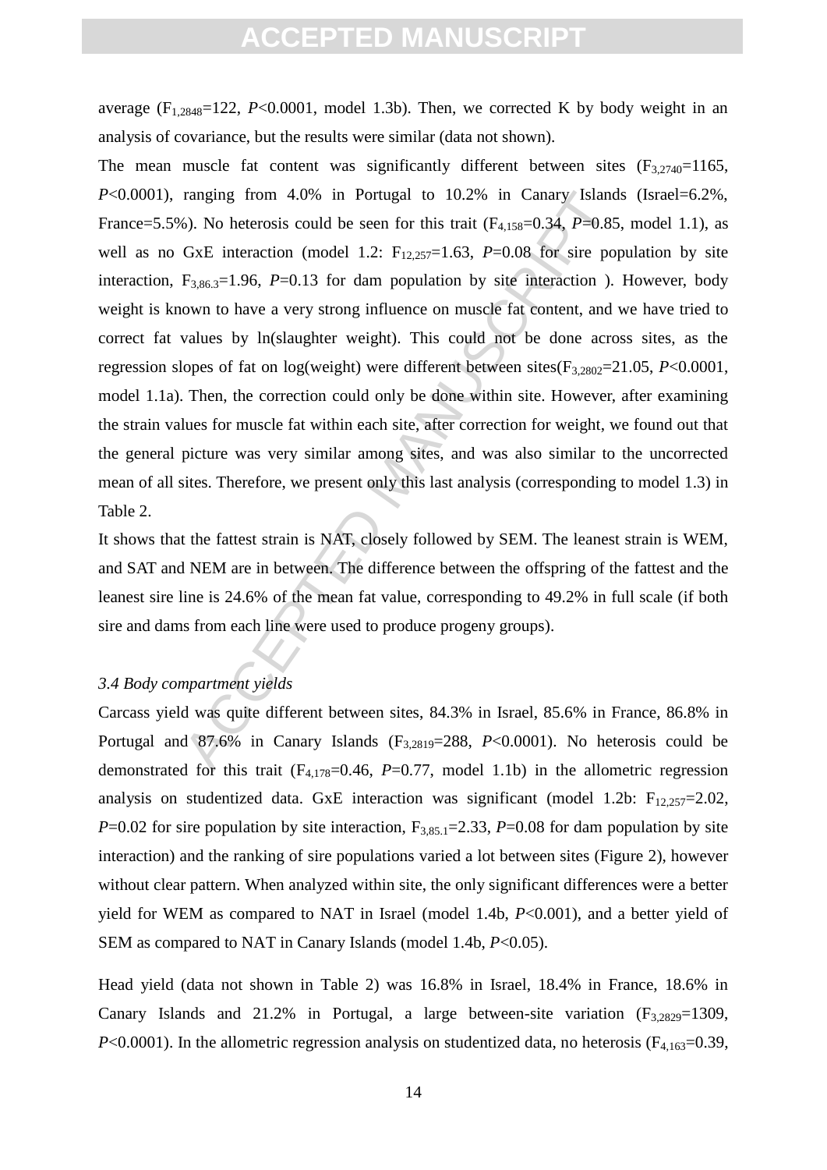average  $(F_{1,2848}=122, P<0.0001,$  model 1.3b). Then, we corrected K by body weight in an analysis of covariance, but the results were similar (data not shown).

ranging from 4.0% in Portugal to 10.2% in Canary Island<br>6). No heterosis could be seen for this trait ( $F_{4,158}$ =0.34,  $P$ =0.85<br>GxE interaction (model 1.2:  $F_{12,257}$ =1.63,  $P$ =0.08 for sire por<br> $F_{3,86,3}$ =1.96,  $P$ =0. The mean muscle fat content was significantly different between sites  $(F_{3,2740}=1165,$ *P*<0.0001), ranging from 4.0% in Portugal to 10.2% in Canary Islands (Israel=6.2%, France=5.5%). No heterosis could be seen for this trait  $(F_{4,158}=0.34, P=0.85, \text{ model } 1.1)$ , as well as no GxE interaction (model 1.2:  $F_{12,257}=1.63$ ,  $P=0.08$  for sire population by site interaction,  $F_{3,86,3}=1.96$ , *P*=0.13 for dam population by site interaction ). However, body weight is known to have a very strong influence on muscle fat content, and we have tried to correct fat values by ln(slaughter weight). This could not be done across sites, as the regression slopes of fat on log(weight) were different between sites(F3,2802=21.05, *P*<0.0001, model 1.1a). Then, the correction could only be done within site. However, after examining the strain values for muscle fat within each site, after correction for weight, we found out that the general picture was very similar among sites, and was also similar to the uncorrected mean of all sites. Therefore, we present only this last analysis (corresponding to model 1.3) in Table 2.

It shows that the fattest strain is NAT, closely followed by SEM. The leanest strain is WEM, and SAT and NEM are in between. The difference between the offspring of the fattest and the leanest sire line is 24.6% of the mean fat value, corresponding to 49.2% in full scale (if both sire and dams from each line were used to produce progeny groups).

#### *3.4 Body compartment yields*

Carcass yield was quite different between sites, 84.3% in Israel, 85.6% in France, 86.8% in Portugal and 87.6% in Canary Islands (F<sub>3.2819</sub>=288, P<0.0001). No heterosis could be demonstrated for this trait  $(F_{4,178}=0.46, P=0.77, \text{ model } 1.1b)$  in the allometric regression analysis on studentized data. GxE interaction was significant (model 1.2b:  $F_{12,257}=2.02$ , *P*=0.02 for sire population by site interaction,  $F_{3,85,1}$ =2.33, *P*=0.08 for dam population by site interaction) and the ranking of sire populations varied a lot between sites (Figure 2), however without clear pattern. When analyzed within site, the only significant differences were a better yield for WEM as compared to NAT in Israel (model 1.4b, *P*<0.001), and a better yield of SEM as compared to NAT in Canary Islands (model 1.4b, *P*<0.05).

Head yield (data not shown in Table 2) was 16.8% in Israel, 18.4% in France, 18.6% in Canary Islands and 21.2% in Portugal, a large between-site variation  $(F_{3,2829}=1309,$  $P<0.0001$ ). In the allometric regression analysis on studentized data, no heterosis ( $F<sub>4.163</sub>=0.39$ ,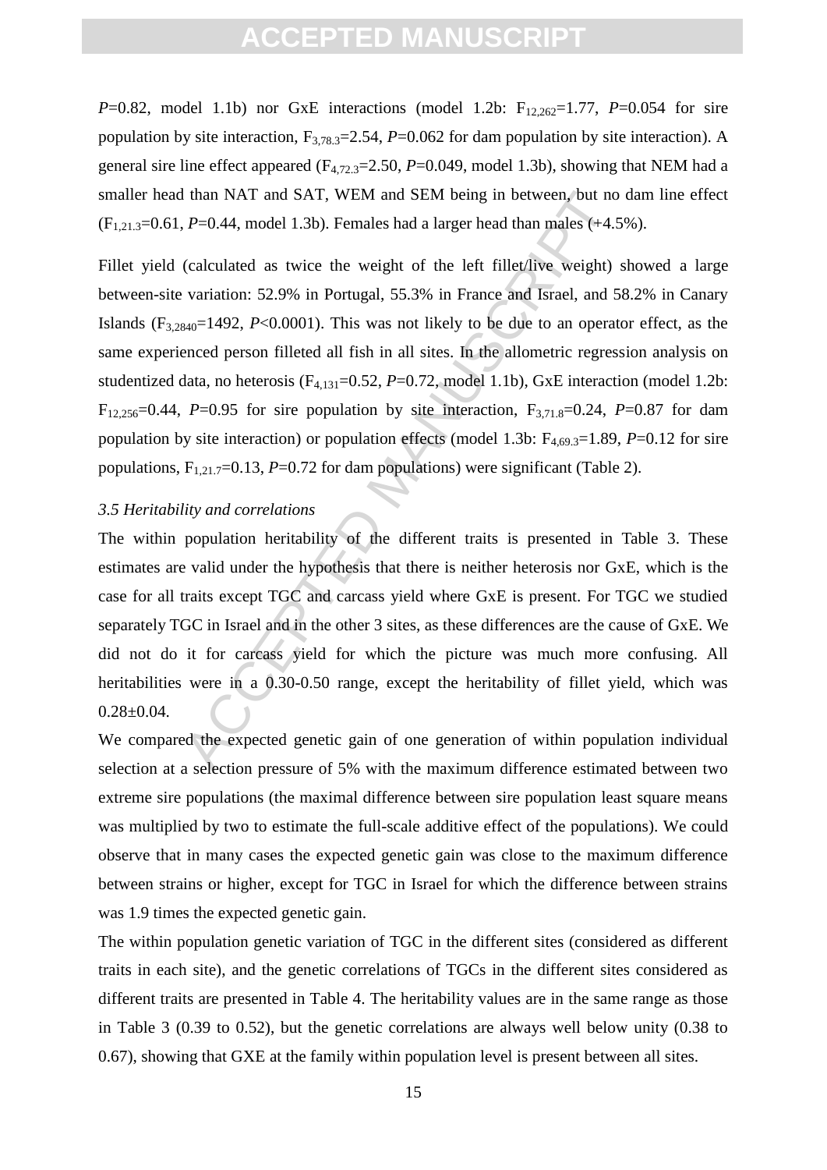*P*=0.82, model 1.1b) nor GxE interactions (model 1.2b:  $F_{12,262}=1.77$ , *P*=0.054 for sire population by site interaction,  $F_{3,78,3}=2.54$ ,  $P=0.062$  for dam population by site interaction). A general sire line effect appeared (F4,72.3=2.50, *P*=0.049, model 1.3b), showing that NEM had a smaller head than NAT and SAT, WEM and SEM being in between, but no dam line effect  $(F_{1,21,3}=0.61, P=0.44, \text{ model } 1.3b)$ . Females had a larger head than males  $(+4.5\%)$ .

I than NAT and SAT, WEM and SEM being in between, but no<br>  $P=0.44$ , model 1.3b). Females had a larger head than males (+4.5<br>
(calculated as twice the weight of the left fillet/live weight)<br>
variation: 52.9% in Portugal, 5 Fillet yield (calculated as twice the weight of the left fillet/live weight) showed a large between-site variation: 52.9% in Portugal, 55.3% in France and Israel, and 58.2% in Canary Islands  $(F_{3,2840}=1492, P<0.0001)$ . This was not likely to be due to an operator effect, as the same experienced person filleted all fish in all sites. In the allometric regression analysis on studentized data, no heterosis (F<sub>4,131</sub>=0.52, P=0.72, model 1.1b), GxE interaction (model 1.2b:  $F_{12,256}=0.44$ , *P*=0.95 for sire population by site interaction,  $F_{3,71.8}=0.24$ , *P*=0.87 for dam population by site interaction) or population effects (model 1.3b:  $F_{4,69,3}=1.89$ ,  $P=0.12$  for sire populations,  $F_{1,21.7}=0.13$ ,  $P=0.72$  for dam populations) were significant (Table 2).

#### *3.5 Heritability and correlations*

The within population heritability of the different traits is presented in Table 3. These estimates are valid under the hypothesis that there is neither heterosis nor GxE, which is the case for all traits except TGC and carcass yield where GxE is present. For TGC we studied separately TGC in Israel and in the other 3 sites, as these differences are the cause of GxE. We did not do it for carcass yield for which the picture was much more confusing. All heritabilities were in a 0.30-0.50 range, except the heritability of fillet yield, which was  $0.28 \pm 0.04$ .

We compared the expected genetic gain of one generation of within population individual selection at a selection pressure of 5% with the maximum difference estimated between two extreme sire populations (the maximal difference between sire population least square means was multiplied by two to estimate the full-scale additive effect of the populations). We could observe that in many cases the expected genetic gain was close to the maximum difference between strains or higher, except for TGC in Israel for which the difference between strains was 1.9 times the expected genetic gain.

The within population genetic variation of TGC in the different sites (considered as different traits in each site), and the genetic correlations of TGCs in the different sites considered as different traits are presented in Table 4. The heritability values are in the same range as those in Table 3 (0.39 to 0.52), but the genetic correlations are always well below unity (0.38 to 0.67), showing that GXE at the family within population level is present between all sites.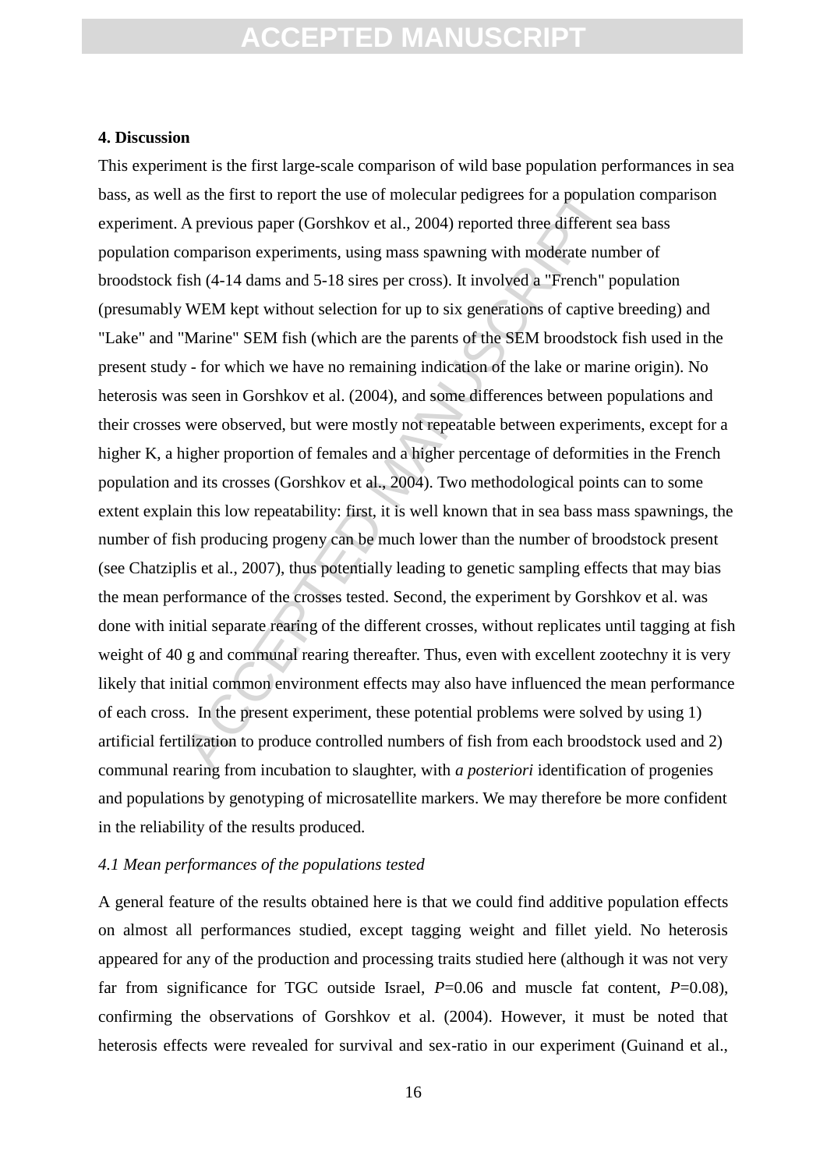#### **4. Discussion**

as the first to report the use of molecular pedigrees for a population.<br>A previous paper (Gorshkov et al., 2004) reported three different somparison experiments, using mass spawning with moderate num ish (4-14 dams and 5-This experiment is the first large-scale comparison of wild base population performances in sea bass, as well as the first to report the use of molecular pedigrees for a population comparison experiment. A previous paper (Gorshkov et al., 2004) reported three different sea bass population comparison experiments, using mass spawning with moderate number of broodstock fish (4-14 dams and 5-18 sires per cross). It involved a "French" population (presumably WEM kept without selection for up to six generations of captive breeding) and "Lake" and "Marine" SEM fish (which are the parents of the SEM broodstock fish used in the present study - for which we have no remaining indication of the lake or marine origin). No heterosis was seen in Gorshkov et al. (2004), and some differences between populations and their crosses were observed, but were mostly not repeatable between experiments, except for a higher K, a higher proportion of females and a higher percentage of deformities in the French population and its crosses (Gorshkov et al., 2004). Two methodological points can to some extent explain this low repeatability: first, it is well known that in sea bass mass spawnings, the number of fish producing progeny can be much lower than the number of broodstock present (see Chatziplis et al., 2007), thus potentially leading to genetic sampling effects that may bias the mean performance of the crosses tested. Second, the experiment by Gorshkov et al. was done with initial separate rearing of the different crosses, without replicates until tagging at fish weight of 40 g and communal rearing thereafter. Thus, even with excellent zootechny it is very likely that initial common environment effects may also have influenced the mean performance of each cross. In the present experiment, these potential problems were solved by using 1) artificial fertilization to produce controlled numbers of fish from each broodstock used and 2) communal rearing from incubation to slaughter, with *a posteriori* identification of progenies and populations by genotyping of microsatellite markers. We may therefore be more confident in the reliability of the results produced.

#### *4.1 Mean performances of the populations tested*

A general feature of the results obtained here is that we could find additive population effects on almost all performances studied, except tagging weight and fillet yield. No heterosis appeared for any of the production and processing traits studied here (although it was not very far from significance for TGC outside Israel,  $P=0.06$  and muscle fat content,  $P=0.08$ ), confirming the observations of Gorshkov et al. (2004). However, it must be noted that heterosis effects were revealed for survival and sex-ratio in our experiment (Guinand et al.,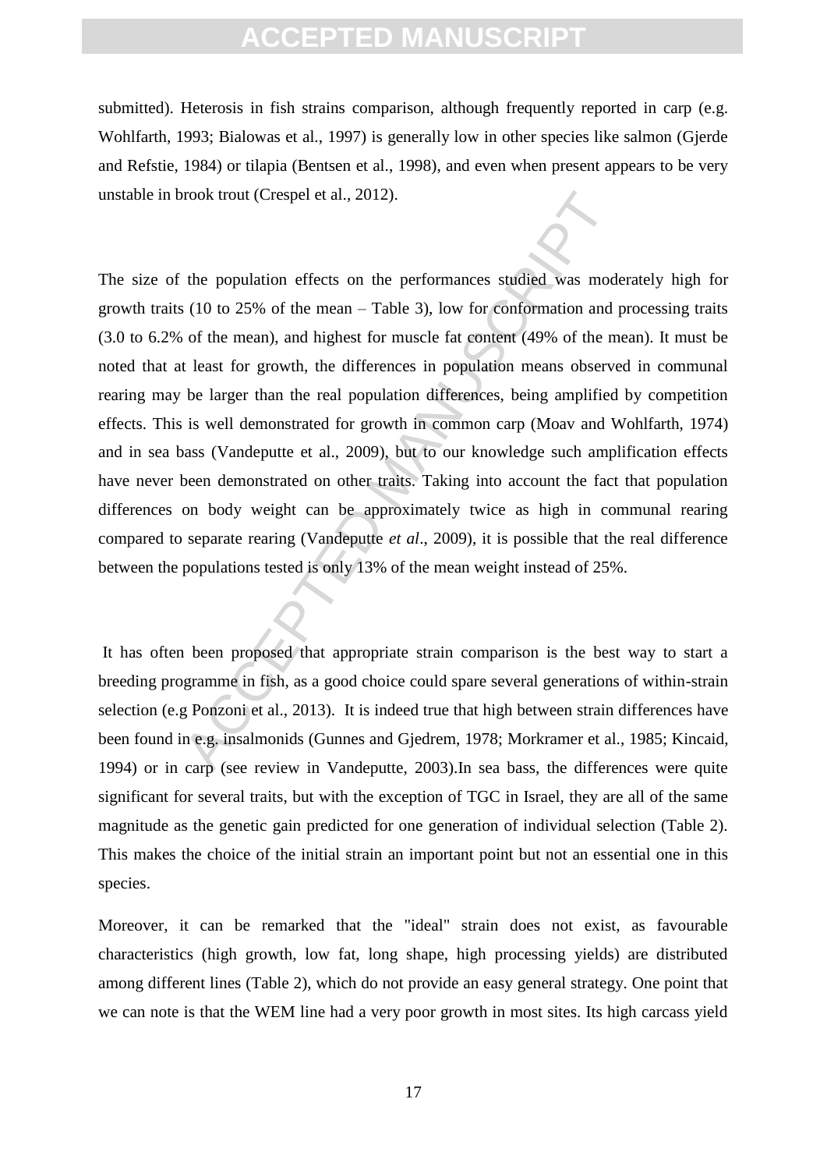submitted). Heterosis in fish strains comparison, although frequently reported in carp (e.g. Wohlfarth, 1993; Bialowas et al., 1997) is generally low in other species like salmon (Gjerde and Refstie, 1984) or tilapia (Bentsen et al., 1998), and even when present appears to be very unstable in brook trout (Crespel et al., 2012).

rook trout (Crespel et al., 2012).<br>
the population effects on the performances studied was mode (10 to 25% of the mean – Table 3), low for conformation and j<br>
of the mean), and highest for muscle fat content (49% of the m The size of the population effects on the performances studied was moderately high for growth traits (10 to 25% of the mean – Table 3), low for conformation and processing traits (3.0 to 6.2% of the mean), and highest for muscle fat content (49% of the mean). It must be noted that at least for growth, the differences in population means observed in communal rearing may be larger than the real population differences, being amplified by competition effects. This is well demonstrated for growth in common carp (Moav and Wohlfarth, 1974) and in sea bass (Vandeputte et al., 2009), but to our knowledge such amplification effects have never been demonstrated on other traits. Taking into account the fact that population differences on body weight can be approximately twice as high in communal rearing compared to separate rearing (Vandeputte *et al*., 2009), it is possible that the real difference between the populations tested is only 13% of the mean weight instead of 25%.

It has often been proposed that appropriate strain comparison is the best way to start a breeding programme in fish, as a good choice could spare several generations of within-strain selection (e.g Ponzoni et al., 2013). It is indeed true that high between strain differences have been found in e.g. insalmonids (Gunnes and Gjedrem, 1978; Morkramer et al., 1985; Kincaid, 1994) or in carp (see review in Vandeputte, 2003).In sea bass, the differences were quite significant for several traits, but with the exception of TGC in Israel, they are all of the same magnitude as the genetic gain predicted for one generation of individual selection (Table 2). This makes the choice of the initial strain an important point but not an essential one in this species.

Moreover, it can be remarked that the "ideal" strain does not exist, as favourable characteristics (high growth, low fat, long shape, high processing yields) are distributed among different lines (Table 2), which do not provide an easy general strategy. One point that we can note is that the WEM line had a very poor growth in most sites. Its high carcass yield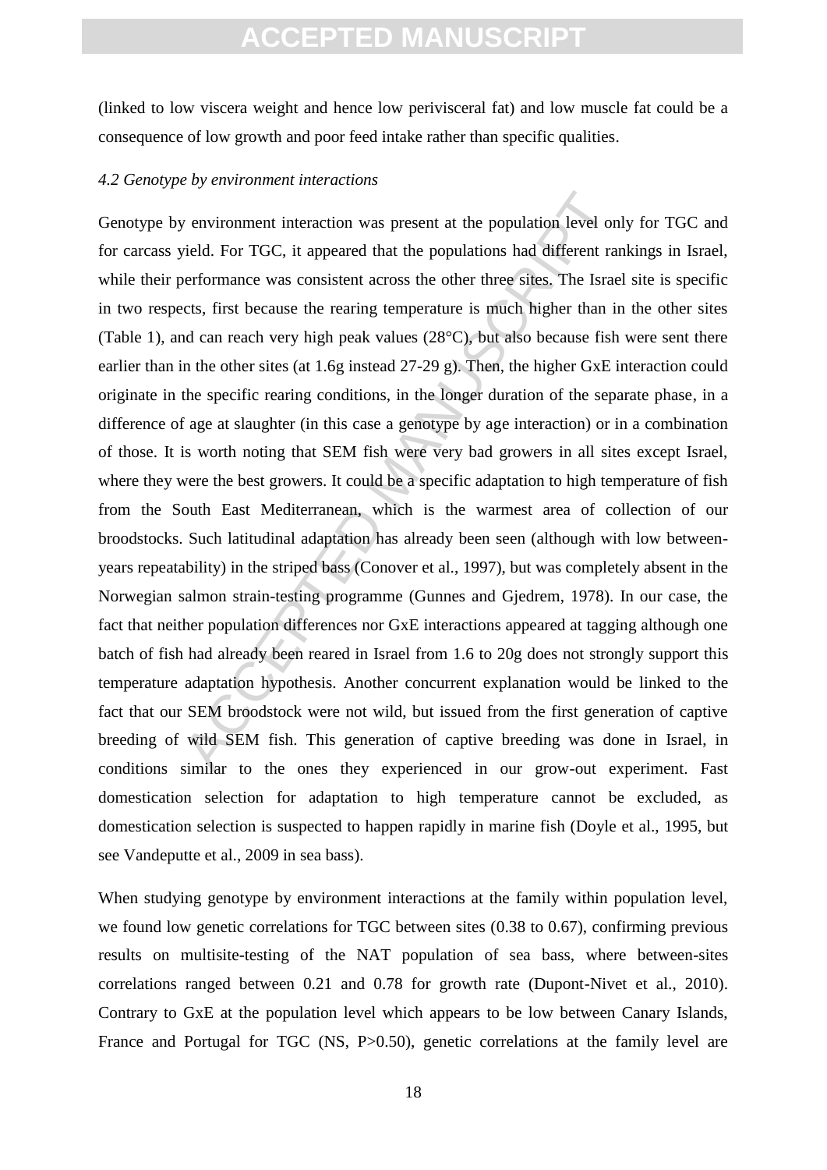(linked to low viscera weight and hence low perivisceral fat) and low muscle fat could be a consequence of low growth and poor feed intake rather than specific qualities.

#### *4.2 Genotype by environment interactions*

y environment interaction was present at the population level on<br>vield. For TGC, it appeared that the populations had different rat<br>erformance was consistent across the other three sites. The Israe<br>cts, first because the r Genotype by environment interaction was present at the population level only for TGC and for carcass yield. For TGC, it appeared that the populations had different rankings in Israel, while their performance was consistent across the other three sites. The Israel site is specific in two respects, first because the rearing temperature is much higher than in the other sites (Table 1), and can reach very high peak values (28°C), but also because fish were sent there earlier than in the other sites (at 1.6g instead 27-29 g). Then, the higher GxE interaction could originate in the specific rearing conditions, in the longer duration of the separate phase, in a difference of age at slaughter (in this case a genotype by age interaction) or in a combination of those. It is worth noting that SEM fish were very bad growers in all sites except Israel, where they were the best growers. It could be a specific adaptation to high temperature of fish from the South East Mediterranean, which is the warmest area of collection of our broodstocks. Such latitudinal adaptation has already been seen (although with low betweenyears repeatability) in the striped bass (Conover et al., 1997), but was completely absent in the Norwegian salmon strain-testing programme (Gunnes and Gjedrem, 1978). In our case, the fact that neither population differences nor GxE interactions appeared at tagging although one batch of fish had already been reared in Israel from 1.6 to 20g does not strongly support this temperature adaptation hypothesis. Another concurrent explanation would be linked to the fact that our SEM broodstock were not wild, but issued from the first generation of captive breeding of wild SEM fish. This generation of captive breeding was done in Israel, in conditions similar to the ones they experienced in our grow-out experiment. Fast domestication selection for adaptation to high temperature cannot be excluded, as domestication selection is suspected to happen rapidly in marine fish (Doyle et al., 1995, but see Vandeputte et al., 2009 in sea bass).

When studying genotype by environment interactions at the family within population level, we found low genetic correlations for TGC between sites (0.38 to 0.67), confirming previous results on multisite-testing of the NAT population of sea bass, where between-sites correlations ranged between 0.21 and 0.78 for growth rate (Dupont-Nivet et al., 2010). Contrary to GxE at the population level which appears to be low between Canary Islands, France and Portugal for TGC (NS, P>0.50), genetic correlations at the family level are

18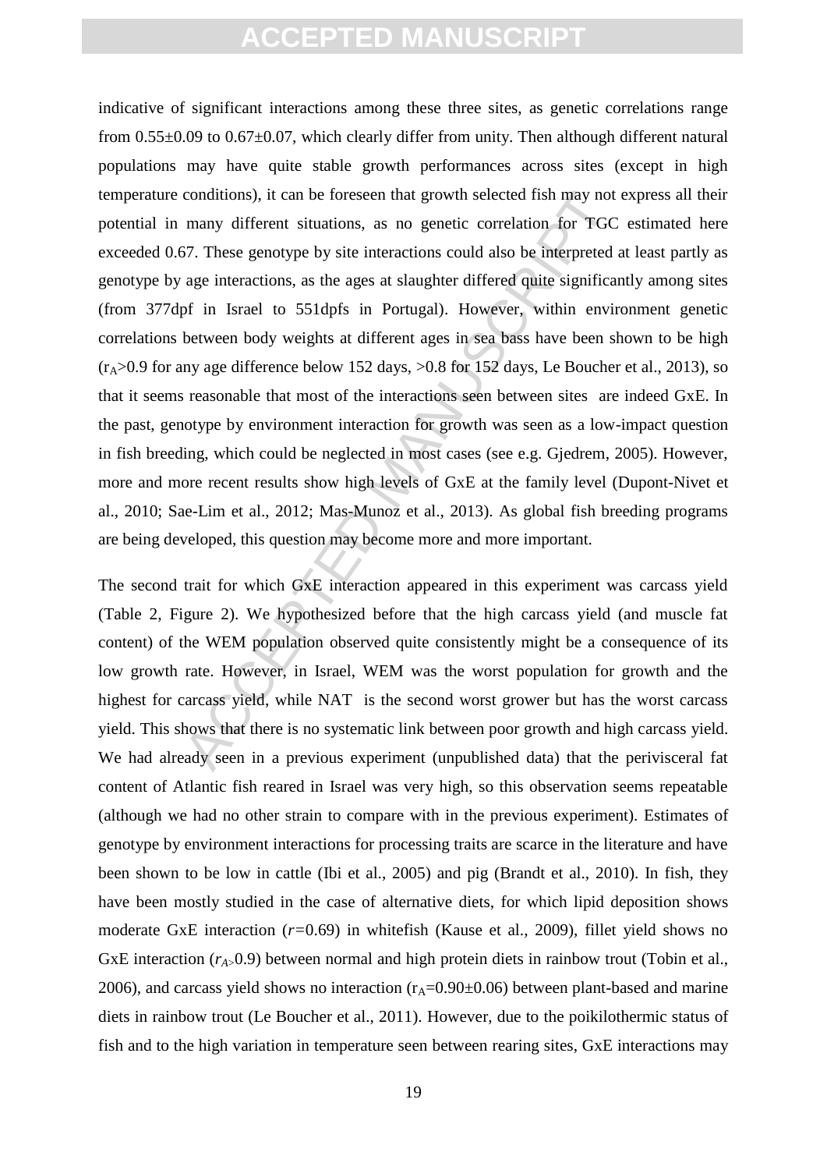conditions), it can be foreseen that growth selected fish may not<br>many different situations, as no genetic correlation for TGC<br>67. These genotype by site interactions could also be interpreted age<br>interactions, as the ages indicative of significant interactions among these three sites, as genetic correlations range from  $0.55\pm0.09$  to  $0.67\pm0.07$ , which clearly differ from unity. Then although different natural populations may have quite stable growth performances across sites (except in high temperature conditions), it can be foreseen that growth selected fish may not express all their potential in many different situations, as no genetic correlation for TGC estimated here exceeded 0.67. These genotype by site interactions could also be interpreted at least partly as genotype by age interactions, as the ages at slaughter differed quite significantly among sites (from 377dpf in Israel to 551dpfs in Portugal). However, within environment genetic correlations between body weights at different ages in sea bass have been shown to be high  $(r_A>0.9$  for any age difference below 152 days,  $>0.8$  for 152 days, Le Boucher et al., 2013), so that it seems reasonable that most of the interactions seen between sites are indeed GxE. In the past, genotype by environment interaction for growth was seen as a low-impact question in fish breeding, which could be neglected in most cases (see e.g. Gjedrem, 2005). However, more and more recent results show high levels of GxE at the family level (Dupont-Nivet et al., 2010; Sae-Lim et al., 2012; Mas-Munoz et al., 2013). As global fish breeding programs are being developed, this question may become more and more important.

The second trait for which GxE interaction appeared in this experiment was carcass yield (Table 2, Figure 2). We hypothesized before that the high carcass yield (and muscle fat content) of the WEM population observed quite consistently might be a consequence of its low growth rate. However, in Israel, WEM was the worst population for growth and the highest for carcass yield, while NAT is the second worst grower but has the worst carcass yield. This shows that there is no systematic link between poor growth and high carcass yield. We had already seen in a previous experiment (unpublished data) that the perivisceral fat content of Atlantic fish reared in Israel was very high, so this observation seems repeatable (although we had no other strain to compare with in the previous experiment). Estimates of genotype by environment interactions for processing traits are scarce in the literature and have been shown to be low in cattle (Ibi et al., 2005) and pig (Brandt et al., 2010). In fish, they have been mostly studied in the case of alternative diets, for which lipid deposition shows moderate GxE interaction (*r=*0.69) in whitefish (Kause et al., 2009), fillet yield shows no GxE interaction  $(r_{A>0.9})$  between normal and high protein diets in rainbow trout (Tobin et al., 2006), and carcass yield shows no interaction  $(r_A=0.90\pm0.06)$  between plant-based and marine diets in rainbow trout (Le Boucher et al., 2011). However, due to the poikilothermic status of fish and to the high variation in temperature seen between rearing sites, GxE interactions may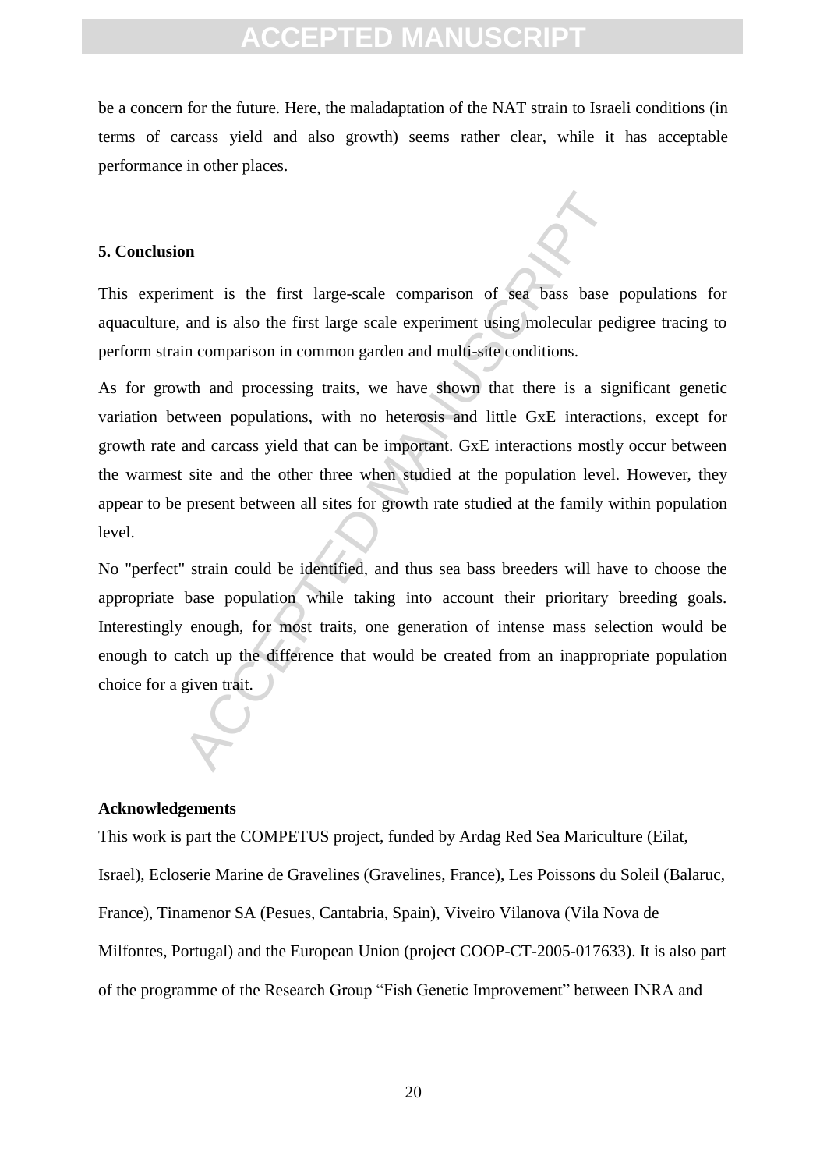be a concern for the future. Here, the maladaptation of the NAT strain to Israeli conditions (in terms of carcass yield and also growth) seems rather clear, while it has acceptable performance in other places.

#### **5. Conclusion**

This experiment is the first large-scale comparison of sea bass base populations for aquaculture, and is also the first large scale experiment using molecular pedigree tracing to perform strain comparison in common garden and multi-site conditions.

neart is the first large-scale comparison of sea bass base<br>and is also the first large scale experiment using molecular ped<br>in comparison in common garden and multi-site conditions.<br>with and processing traits, we have show As for growth and processing traits, we have shown that there is a significant genetic variation between populations, with no heterosis and little GxE interactions, except for growth rate and carcass yield that can be important. GxE interactions mostly occur between the warmest site and the other three when studied at the population level. However, they appear to be present between all sites for growth rate studied at the family within population level.

No "perfect" strain could be identified, and thus sea bass breeders will have to choose the appropriate base population while taking into account their prioritary breeding goals. Interestingly enough, for most traits, one generation of intense mass selection would be enough to catch up the difference that would be created from an inappropriate population choice for a given trait.

#### **Acknowledgements**

This work is part the COMPETUS project, funded by Ardag Red Sea Mariculture (Eilat, Israel), Ecloserie Marine de Gravelines (Gravelines, France), Les Poissons du Soleil (Balaruc, France), Tinamenor SA (Pesues, Cantabria, Spain), Viveiro Vilanova (Vila Nova de Milfontes, Portugal) and the European Union (project COOP-CT-2005-017633). It is also part of the programme of the Research Group "Fish Genetic Improvement" between INRA and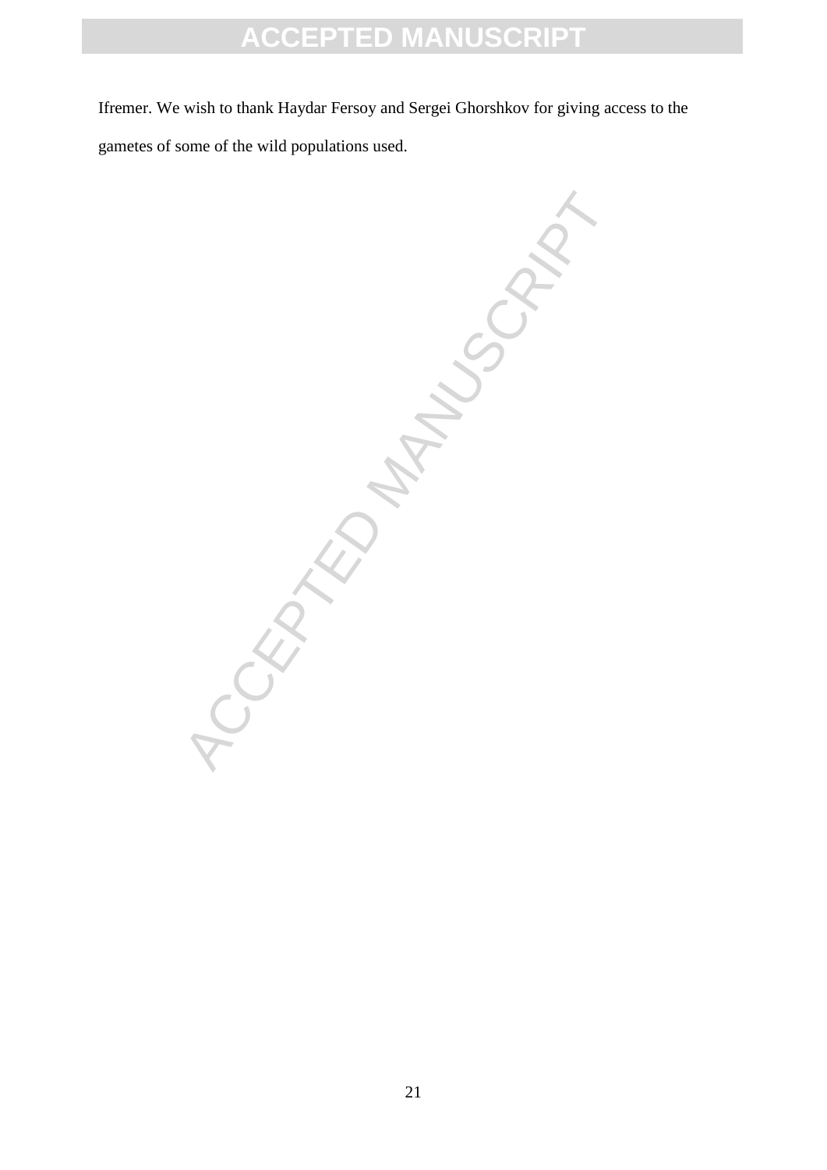Ifremer. We wish to thank Haydar Fersoy and Sergei Ghorshkov for giving access to the gametes of some of the wild populations used.

**ACRYLINATION MANUSCRIPT**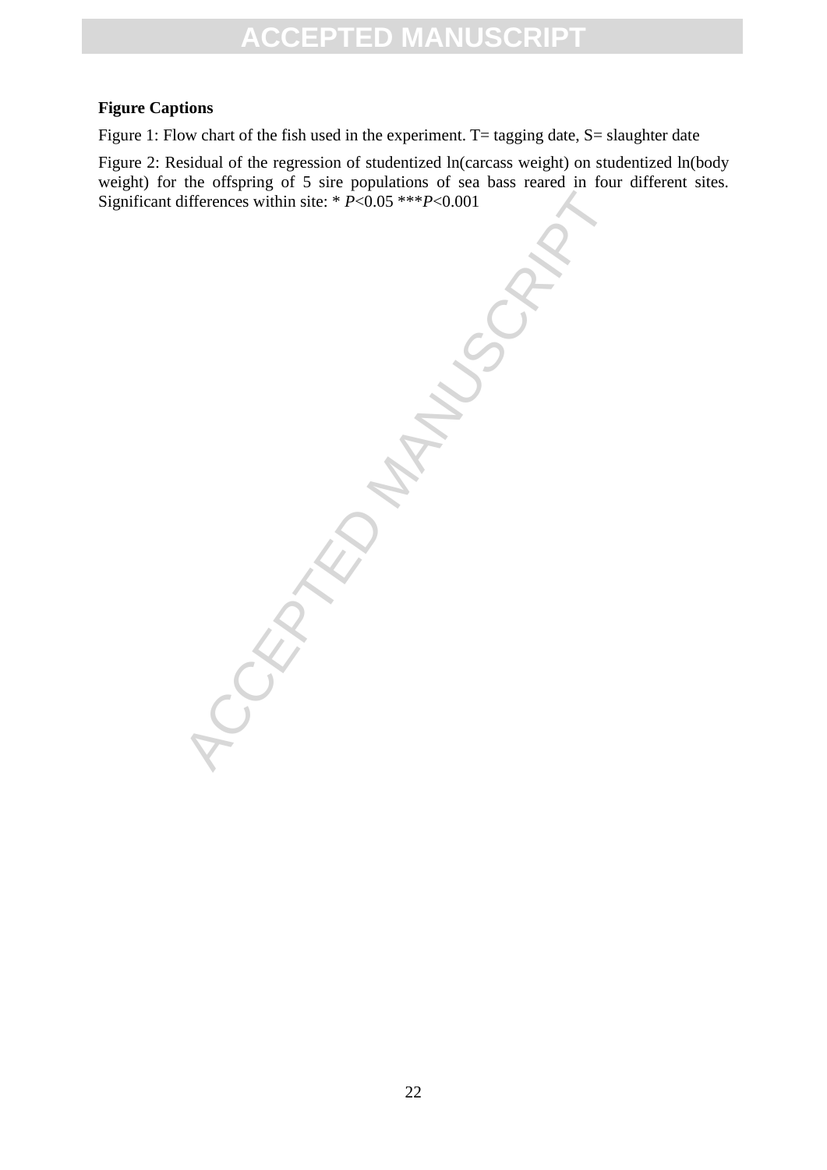#### **Figure Captions**

Figure 1: Flow chart of the fish used in the experiment. T= tagging date, S= slaughter date

Figure 2: Residual of the regression of studentized ln(carcass weight) on studentized ln(body weight) for the offspring of 5 sire populations of sea bass reared in four different sites. Significant differences within site: \* *P*<0.05 \*\*\**P*<0.001

Lifferences within site: \* P<0.05 \*\*\*P<0.001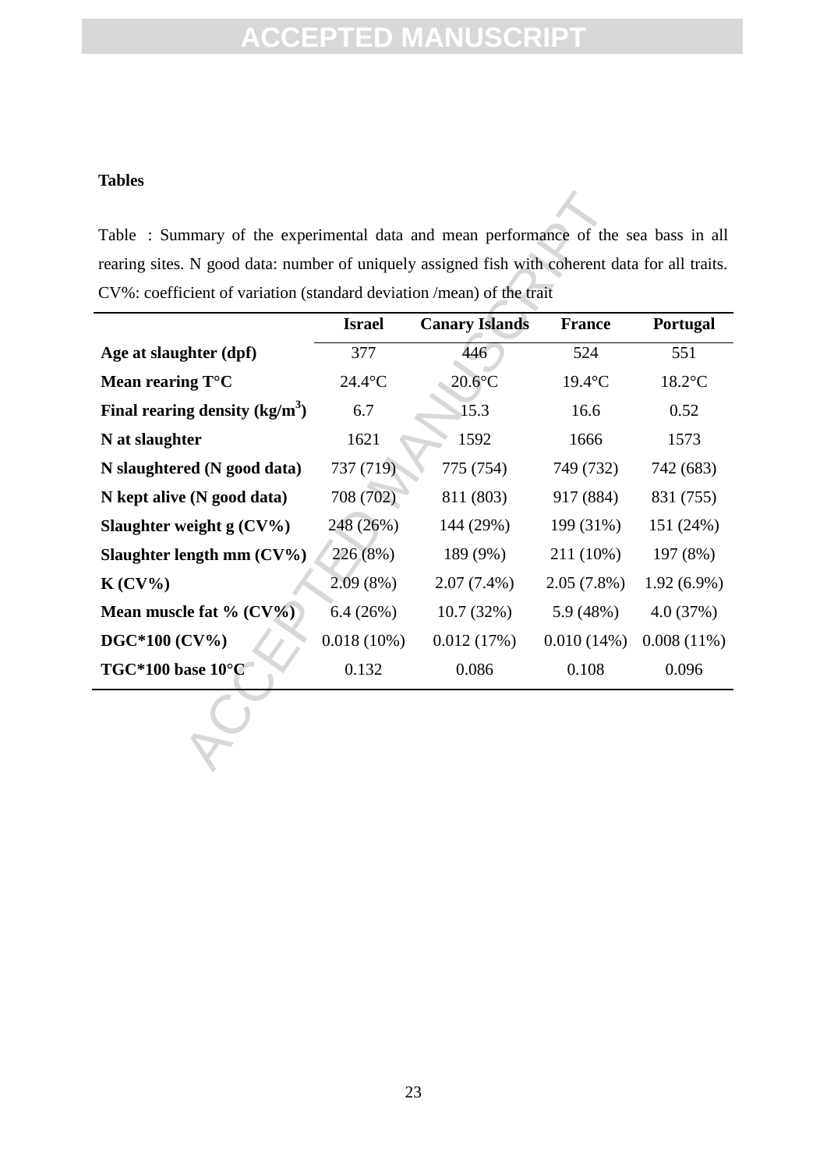### **Tables**

| Table : Summary of the experimental data and mean performance of the sea bass in all            |                  |                       |               |               |
|-------------------------------------------------------------------------------------------------|------------------|-----------------------|---------------|---------------|
| rearing sites. N good data: number of uniquely assigned fish with coherent data for all traits. |                  |                       |               |               |
| CV%: coefficient of variation (standard deviation /mean) of the trait                           |                  |                       |               |               |
|                                                                                                 | <b>Israel</b>    | <b>Canary Islands</b> | <b>France</b> | Portugal      |
| Age at slaughter (dpf)                                                                          | 377              | 446                   | 524           | 551           |
| Mean rearing $T^{\circ}C$                                                                       | $24.4^{\circ}$ C | $20.6$ °C             | $19.4$ °C     | $18.2$ °C     |
| Final rearing density $(kg/m^3)$                                                                | 6.7              | 15.3                  | 16.6          | 0.52          |
| N at slaughter                                                                                  | 1621             | 1592                  | 1666          | 1573          |
| N slaughtered (N good data)                                                                     | 737 (719)        | 775 (754)             | 749 (732)     | 742 (683)     |
| N kept alive (N good data)                                                                      | 708 (702)        | 811 (803)             | 917 (884)     | 831 (755)     |
| Slaughter weight $g(CV\%)$                                                                      | 248 (26%)        | 144 (29%)             | 199 (31%)     | 151 (24%)     |
| Slaughter length mm $(CV\%)$                                                                    | 226 (8%)         | 189 (9%)              | 211 (10%)     | 197 (8%)      |
| $K(CV\%)$                                                                                       | 2.09(8%)         | $2.07(7.4\%)$         | $2.05(7.8\%)$ | $1.92(6.9\%)$ |
| Mean muscle fat % (CV%)                                                                         | 6.4(26%)         | 10.7(32%)             | 5.9(48%)      | 4.0(37%)      |
| DGC*100 (CV%)                                                                                   | $0.018(10\%)$    | 0.012(17%)            | 0.010(14%)    | $0.008(11\%)$ |
| $TGC*100$ base $10^{\circ}C$                                                                    | 0.132            | 0.086                 | 0.108         | 0.096         |
|                                                                                                 |                  |                       |               |               |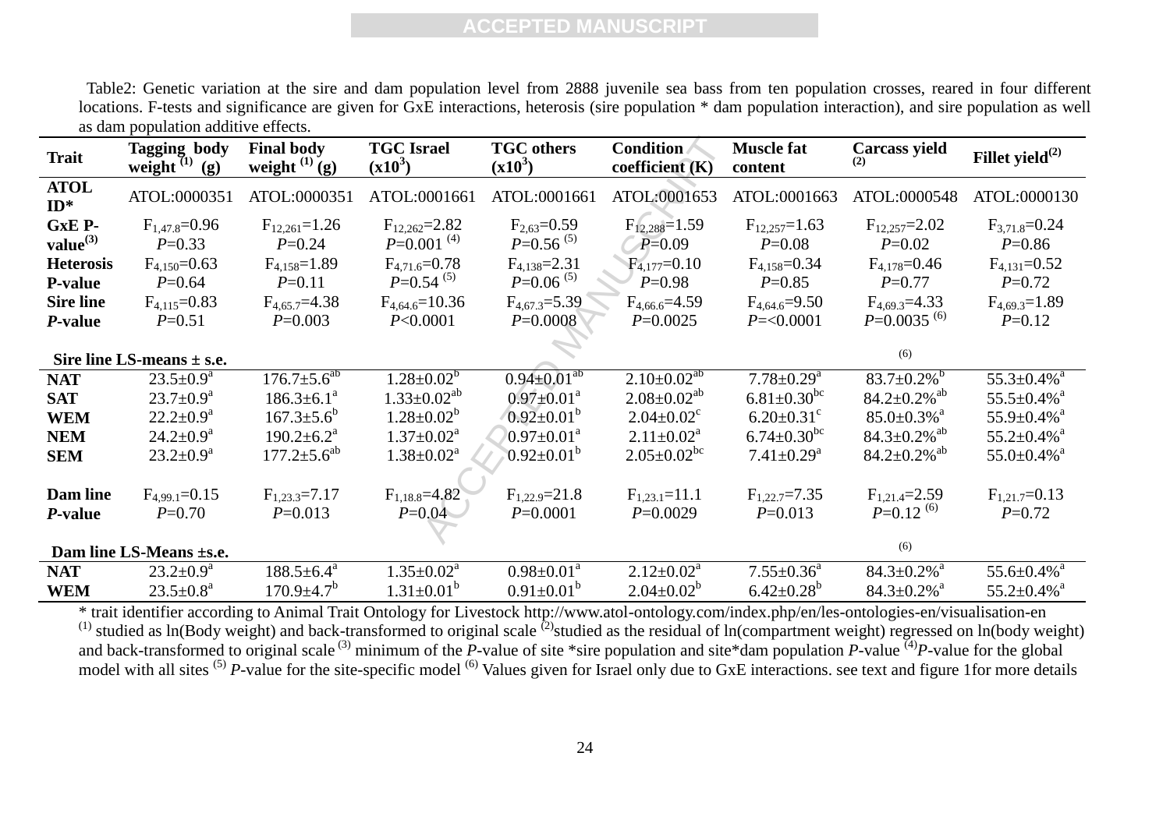Table2: Genetic variation at the sire and dam population level from 2888 juvenile sea bass from ten population crosses, reared in four different locations. F-tests and significance are given for GxE interactions, heterosis (sire population \* dam population interaction), and sire population as well as dam population additive effects.

| <b>Trait</b>          | <b>Tagging body</b><br>weight $(1)$<br>(g) | <b>Final body</b><br>weight $^{(1)}$ (g) | <b>TGC</b> Israel<br>$(x10^3)$ | <b>TGC</b> others<br>$(x10^3)$ | <b>Condition</b><br>coefficient (K) | <b>Muscle fat</b><br>content  | <b>Carcass yield</b><br>(2)    | Fillet yield $^{(2)}$         |
|-----------------------|--------------------------------------------|------------------------------------------|--------------------------------|--------------------------------|-------------------------------------|-------------------------------|--------------------------------|-------------------------------|
| <b>ATOL</b><br>$ID^*$ | ATOL:0000351                               | ATOL:0000351                             | ATOL:0001661                   | ATOL:0001661                   | ATOL:0001653                        | ATOL:0001663                  | ATOL:0000548                   | ATOL:0000130                  |
| GxE P-                | $F_{1,47.8}=0.96$                          | $F_{12,261} = 1.26$                      | $F_{12,262}=2.82$              | $F_{2,63}=0.59$                | $F_{12,288} = 1.59$                 | $F_{12,257} = 1.63$           | $F_{12,257}=2.02$              | $F_{3,71.8}=0.24$             |
| value <sup>(3)</sup>  | $P=0.33$                                   | $P=0.24$                                 | $P=0.001$ <sup>(4)</sup>       | $P=0.56^{(5)}$                 | $P=0.09$                            | $P=0.08$                      | $P=0.02$                       | $P=0.86$                      |
| <b>Heterosis</b>      | $F_{4.150} = 0.63$                         | $F_{4.158}=1.89$                         | $F_{4,71.6} = 0.78$            | $F_{4,138}=2.31$               | $F_{4,177} = 0.10$                  | $F_{4,158}=0.34$              | $F_{4,178}=0.46$               | $F_{4,131}=0.52$              |
| <b>P-value</b>        | $P=0.64$                                   | $P=0.11$                                 | $P=0.54^{(5)}$                 | $P=0.06^{(5)}$                 | $P=0.98$                            | $P=0.85$                      | $P=0.77$                       | $P=0.72$                      |
| <b>Sire line</b>      | $F_{4,115}=0.83$                           | $F_{4,65.7} = 4.38$                      | $F_{4,64,6} = 10.36$           | $F_{4.67.3} = 5.39$            | $F_{4,66.6} = 4.59$                 | $F_{4.64.6} = 9.50$           | $F_{4,69,3} = 4.33$            | $F_{4.69.3} = 1.89$           |
| <i>P</i> -value       | $P=0.51$                                   | $P=0.003$                                | P<0.0001                       | $P=0.0008$                     | $P=0.0025$                          | $P = 0.0001$                  | $P=0.0035^{(6)}$               | $P=0.12$                      |
|                       | Sire line LS-means $\pm$ s.e.              |                                          |                                |                                |                                     |                               | (6)                            |                               |
| <b>NAT</b>            | $23.5 \pm 0.9^a$                           | $176.7 \pm 5.6^{ab}$                     | $1.28 \pm 0.02^b$              | $0.94 \pm 0.01^{ab}$           | $2.10\pm0.02^{ab}$                  | $7.78 \pm 0.29$ <sup>a</sup>  | $83.7 \pm 0.2\%$ <sup>b</sup>  | $55.3 \pm 0.4\%$ <sup>a</sup> |
| <b>SAT</b>            | $23.7 \pm 0.9^{\text{a}}$                  | $186.3 \pm 6.1^a$                        | $1.33 \pm 0.02^{ab}$           | $0.97 \pm 0.01^a$              | $2.08 \pm 0.02^{ab}$                | $6.81 \pm 0.30$ <sup>bc</sup> | $84.2 \pm 0.2\%$ <sup>ab</sup> | $55.5 \pm 0.4\%$ <sup>a</sup> |
| <b>WEM</b>            | $22.2 \pm 0.9^a$                           | $167.3 \pm 5.6^b$                        | $1.28 \pm 0.02^b$              | $0.92 \pm 0.01^b$              | $2.04 \pm 0.02$ <sup>c</sup>        | $6.20 \pm 0.31$ <sup>c</sup>  | $85.0 \pm 0.3\%$ <sup>a</sup>  | $55.9 \pm 0.4\%$ <sup>a</sup> |
| <b>NEM</b>            | $24.2 \pm 0.9^a$                           | $190.2 \pm 6.2^a$                        | $1.37 \pm 0.02^{\text{a}}$     | $0.97 \pm 0.01^{\text{a}}$     | $2.11 \pm 0.02^a$                   | $6.74 \pm 0.30$ <sup>bc</sup> | $84.3 \pm 0.2\%$ <sup>ab</sup> | $55.2 \pm 0.4\%$ <sup>a</sup> |
| <b>SEM</b>            | $23.2 \pm 0.9^a$                           | $177.2 \pm 5.6^{ab}$                     | $1.38 \pm 0.02^a$              | $0.92 \pm 0.01^{\rm b}$        | $2.05 \pm 0.02$ <sup>bc</sup>       | $7.41 \pm 0.29$ <sup>a</sup>  | $84.2 \pm 0.2\%$ <sup>ab</sup> | $55.0 \pm 0.4\%$ <sup>a</sup> |
| Dam line              | $F_{4.99,1} = 0.15$                        | $F_{1,23,3} = 7.17$                      | $F_{1,18.8} = 4.82$            | $F_{1,22.9} = 21.8$            | $F_{1,23,1} = 11.1$                 | $F_{1,22,7} = 7.35$           | $F_{1,21,4} = 2.59$            | $F_{1,21.7}=0.13$             |
| P-value               | $P=0.70$                                   | $P=0.013$                                | $P=0.04$                       | $P=0.0001$                     | $P=0.0029$                          | $P=0.013$                     | $P=0.12^{(6)}$                 | $P=0.72$                      |
|                       | Dam line LS-Means ±s.e.                    |                                          |                                |                                |                                     |                               | (6)                            |                               |
| <b>NAT</b>            | $23.2 \pm 0.9^a$                           | $188.5 \pm 6.4^a$                        | $1.35 \pm 0.02^{\text{a}}$     | $0.98 \pm 0.01^a$              | $2.12 \pm 0.02^a$                   | $7.55 \pm 0.36^a$             | $84.3 \pm 0.2\%$ <sup>a</sup>  | $55.6 \pm 0.4\%$ <sup>a</sup> |
| <b>WEM</b>            | $23.5 \pm 0.8^a$                           | $170.9 \pm 4.7^b$                        | $1.31 \pm 0.01^b$              | $0.91 \pm 0.01^b$              | $2.04 \pm 0.02^b$                   | $6.42 \pm 0.28$ <sup>b</sup>  | $84.3 \pm 0.2\%$ <sup>a</sup>  | $55.2 \pm 0.4\%$ <sup>a</sup> |

\* trait identifier according to Animal Trait Ontology for Livestock http://www.atol-ontology.com/index.php/en/les-ontologies-en/visualisation-en <sup>(1)</sup> studied as ln(Body weight) and back-transformed to original scale  $^{(2)}$ studied as the residual of ln(compartment weight) regressed on ln(body weight) and back-transformed to original scale<sup>(3)</sup> minimum of the *P*-value of site \*sire population and site\*dam population *P*-value <sup>(4)</sup>*P*-value for the global model with all sites <sup>(5)</sup> *P*-value for the site-specific model <sup>(6)</sup> Values given for Israel only due to GxE interactions, see text and figure 1for more details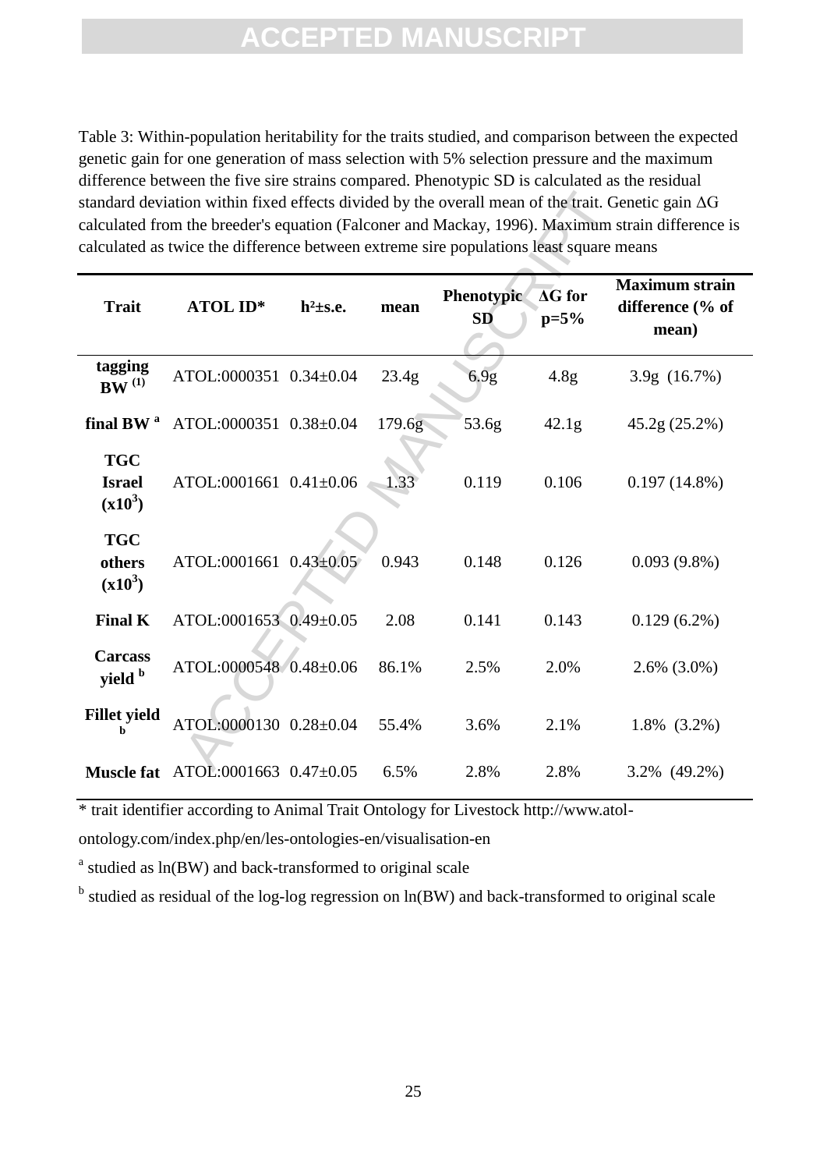Table 3: Within-population heritability for the traits studied, and comparison between the expected genetic gain for one generation of mass selection with 5% selection pressure and the maximum difference between the five sire strains compared. Phenotypic SD is calculated as the residual standard deviation within fixed effects divided by the overall mean of the trait. Genetic gain ΔG calculated from the breeder's equation (Falconer and Mackay, 1996). Maximum strain difference is calculated as twice the difference between extreme sire populations least square means

|                                          | calculated as twice the difference between extreme sire populations least square means |                |        |                                |                                     | standard deviation within fixed effects divided by the overall mean of the trait. Genetic gain $\Delta G$<br>calculated from the breeder's equation (Falconer and Mackay, 1996). Maximum strain difference is |
|------------------------------------------|----------------------------------------------------------------------------------------|----------------|--------|--------------------------------|-------------------------------------|---------------------------------------------------------------------------------------------------------------------------------------------------------------------------------------------------------------|
| <b>Trait</b>                             | <b>ATOL ID*</b>                                                                        | $h^2 \pm s.e.$ | mean   | <b>Phenotypic</b><br><b>SD</b> | $\overline{\Delta G}$ for<br>$p=5%$ | <b>Maximum</b> strain<br>difference (% of<br>mean)                                                                                                                                                            |
| tagging<br>$\mathbf{BW}^{(1)}$           | ATOL:0000351 0.34±0.04                                                                 |                | 23.4g  | 6.9g                           | 4.8g                                | 3.9g (16.7%)                                                                                                                                                                                                  |
| final BW <sup>a</sup>                    | ATOL:0000351 0.38±0.04                                                                 |                | 179.6g | 53.6g                          | 42.1g                               | 45.2g(25.2%)                                                                                                                                                                                                  |
| <b>TGC</b><br><b>Israel</b><br>$(x10^3)$ | ATOL:0001661 0.41±0.06                                                                 |                | 1.33   | 0.119                          | 0.106                               | $0.197(14.8\%)$                                                                                                                                                                                               |
| <b>TGC</b><br>others<br>$(x10^3)$        | ATOL:0001661 0.43±0.05                                                                 |                | 0.943  | 0.148                          | 0.126                               | $0.093(9.8\%)$                                                                                                                                                                                                |
| <b>Final K</b>                           | ATOL:0001653 0.49±0.05                                                                 |                | 2.08   | 0.141                          | 0.143                               | $0.129(6.2\%)$                                                                                                                                                                                                |
| <b>Carcass</b><br>yield b                | ATOL:0000548 0.48±0.06                                                                 |                | 86.1%  | 2.5%                           | 2.0%                                | $2.6\%$ $(3.0\%)$                                                                                                                                                                                             |
| <b>Fillet yield</b><br>h                 | ATOL:0000130 0.28±0.04                                                                 |                | 55.4%  | 3.6%                           | 2.1%                                | $1.8\%$ $(3.2\%)$                                                                                                                                                                                             |
|                                          | <b>Muscle fat</b> ATOL:0001663 0.47±0.05                                               |                | 6.5%   | 2.8%                           | 2.8%                                | 3.2% (49.2%)                                                                                                                                                                                                  |

\* trait identifier according to Animal Trait Ontology for Livestock http://www.atol-

ontology.com/index.php/en/les-ontologies-en/visualisation-en

<sup>a</sup> studied as ln(BW) and back-transformed to original scale

<sup>b</sup> studied as residual of the log-log regression on ln(BW) and back-transformed to original scale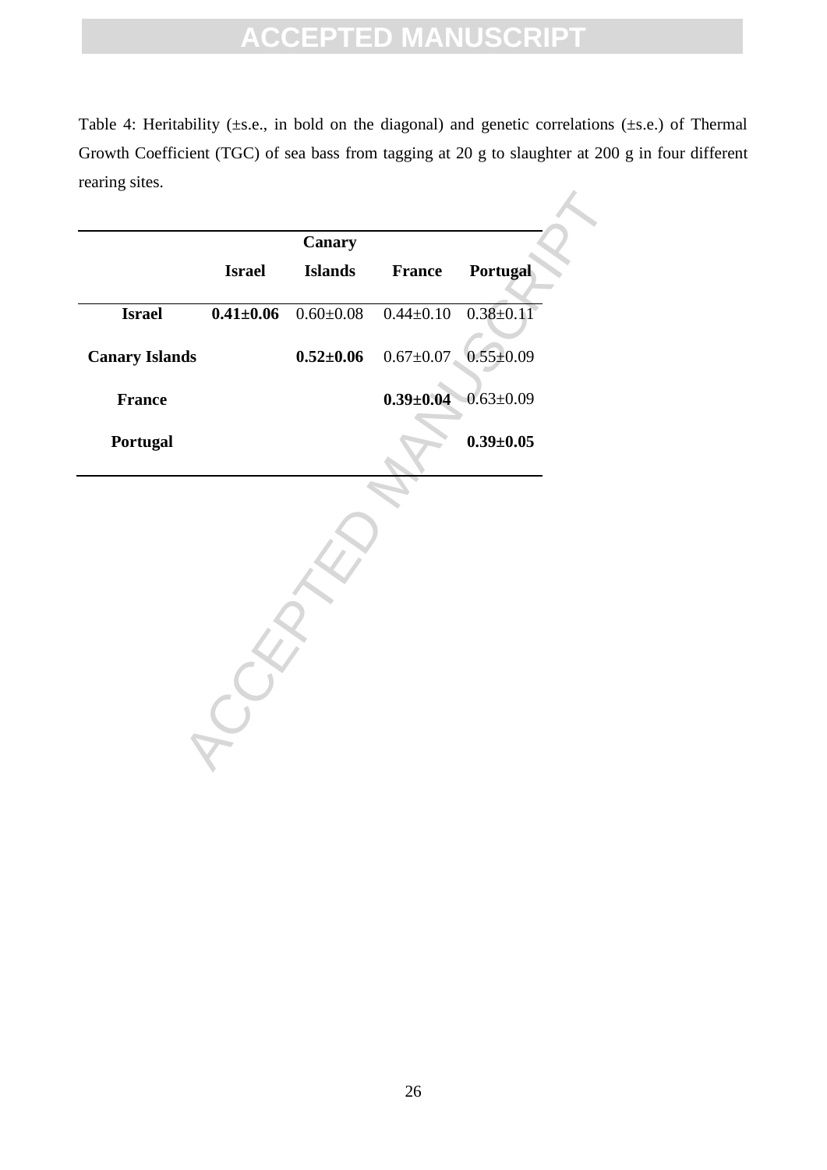Table 4: Heritability (±s.e., in bold on the diagonal) and genetic correlations (±s.e.) of Thermal Growth Coefficient (TGC) of sea bass from tagging at 20 g to slaughter at 200 g in four different rearing sites.

| <b>Israel</b><br><b>Islands</b><br><b>Portugal</b><br><b>France</b><br>$0.41 \pm 0.06$<br>$0.60 \pm 0.08$<br>$0.44 \pm 0.10$<br><b>Israel</b><br>$0.67 \pm 0.07$<br>$0.52{\pm}0.06$<br>$0.39 \pm 0.04$<br><b>France</b><br>Portugal |                       | <b>Canary</b> |  |
|-------------------------------------------------------------------------------------------------------------------------------------------------------------------------------------------------------------------------------------|-----------------------|---------------|--|
| $0.38 \pm 0.11$<br>$0.55 \pm 0.09$<br>$0.63 \pm 0.09$                                                                                                                                                                               |                       |               |  |
|                                                                                                                                                                                                                                     |                       |               |  |
|                                                                                                                                                                                                                                     | <b>Canary Islands</b> |               |  |
| $0.39 \pm 0.05$                                                                                                                                                                                                                     |                       |               |  |
|                                                                                                                                                                                                                                     |                       |               |  |
|                                                                                                                                                                                                                                     |                       |               |  |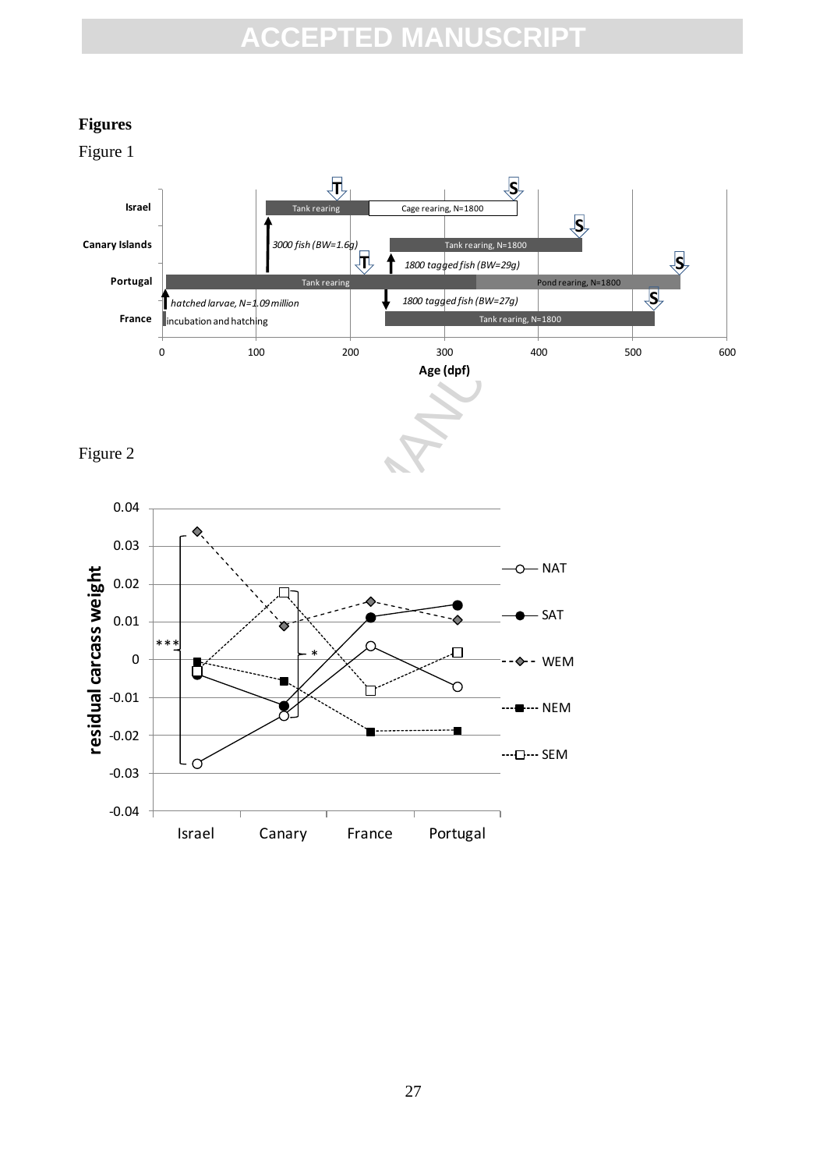### **Figures**

Figure 1

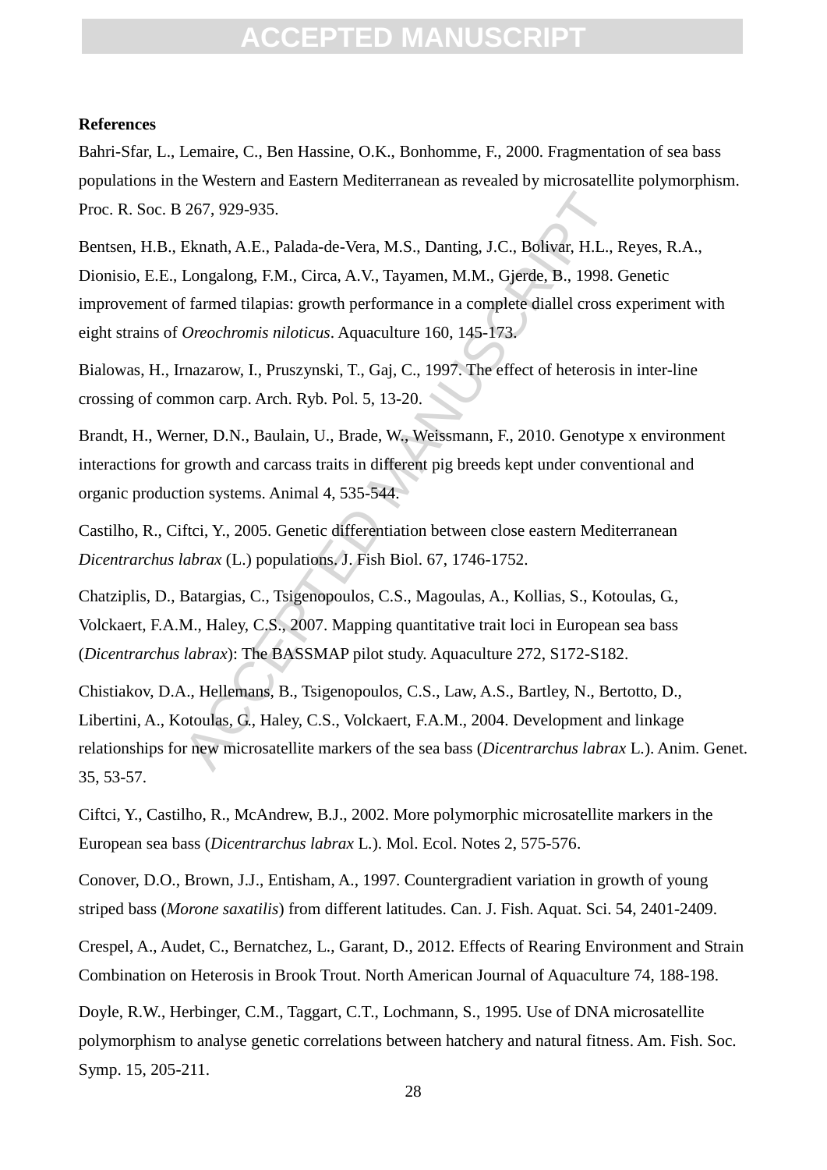#### **References**

Bahri-Sfar, L., Lemaire, C., Ben Hassine, O.K., Bonhomme, F., 2000. Fragmentation of sea bass populations in the Western and Eastern Mediterranean as revealed by microsatellite polymorphism. Proc. R. Soc. B 267, 929-935.

267, 929-935.<br>
Eknath, A.E., Palada-de-Vera, M.S., Danting, J.C., Bolivar, H.L., Longalong, F.M., Circa, A.V., Tayamen, M.M., Gjerde, B., 1998.<br>
f farmed tilapias: growth performance in a complete diallel cross of<br> *Oreoch* Bentsen, H.B., Eknath, A.E., Palada-de-Vera, M.S., Danting, J.C., Bolivar, H.L., Reyes, R.A., Dionisio, E.E., Longalong, F.M., Circa, A.V., Tayamen, M.M., Gjerde, B., 1998. Genetic improvement of farmed tilapias: growth performance in a complete diallel cross experiment with eight strains of *Oreochromis niloticus*. Aquaculture 160, 145-173.

Bialowas, H., Irnazarow, I., Pruszynski, T., Gaj, C., 1997. The effect of heterosis in inter-line crossing of common carp. Arch. Ryb. Pol. 5, 13-20.

Brandt, H., Werner, D.N., Baulain, U., Brade, W., Weissmann, F., 2010. Genotype x environment interactions for growth and carcass traits in different pig breeds kept under conventional and organic production systems. Animal 4, 535-544.

Castilho, R., Ciftci, Y., 2005. Genetic differentiation between close eastern Mediterranean *Dicentrarchus labrax* (L.) populations. J. Fish Biol. 67, 1746-1752.

Chatziplis, D., Batargias, C., Tsigenopoulos, C.S., Magoulas, A., Kollias, S., Kotoulas, G., Volckaert, F.A.M., Haley, C.S., 2007. Mapping quantitative trait loci in European sea bass (*Dicentrarchus labrax*): The BASSMAP pilot study. Aquaculture 272, S172-S182.

Chistiakov, D.A., Hellemans, B., Tsigenopoulos, C.S., Law, A.S., Bartley, N., Bertotto, D., Libertini, A., Kotoulas, G., Haley, C.S., Volckaert, F.A.M., 2004. Development and linkage relationships for new microsatellite markers of the sea bass (*Dicentrarchus labrax* L.). Anim. Genet. 35, 53-57.

Ciftci, Y., Castilho, R., McAndrew, B.J., 2002. More polymorphic microsatellite markers in the European sea bass (*Dicentrarchus labrax* L.). Mol. Ecol. Notes 2, 575-576.

Conover, D.O., Brown, J.J., Entisham, A., 1997. Countergradient variation in growth of young striped bass (*Morone saxatilis*) from different latitudes. Can. J. Fish. Aquat. Sci. 54, 2401-2409.

Crespel, A., Audet, C., Bernatchez, L., Garant, D., 2012. Effects of Rearing Environment and Strain Combination on Heterosis in Brook Trout. North American Journal of Aquaculture 74, 188-198.

Doyle, R.W., Herbinger, C.M., Taggart, C.T., Lochmann, S., 1995. Use of DNA microsatellite polymorphism to analyse genetic correlations between hatchery and natural fitness. Am. Fish. Soc. Symp. 15, 205-211.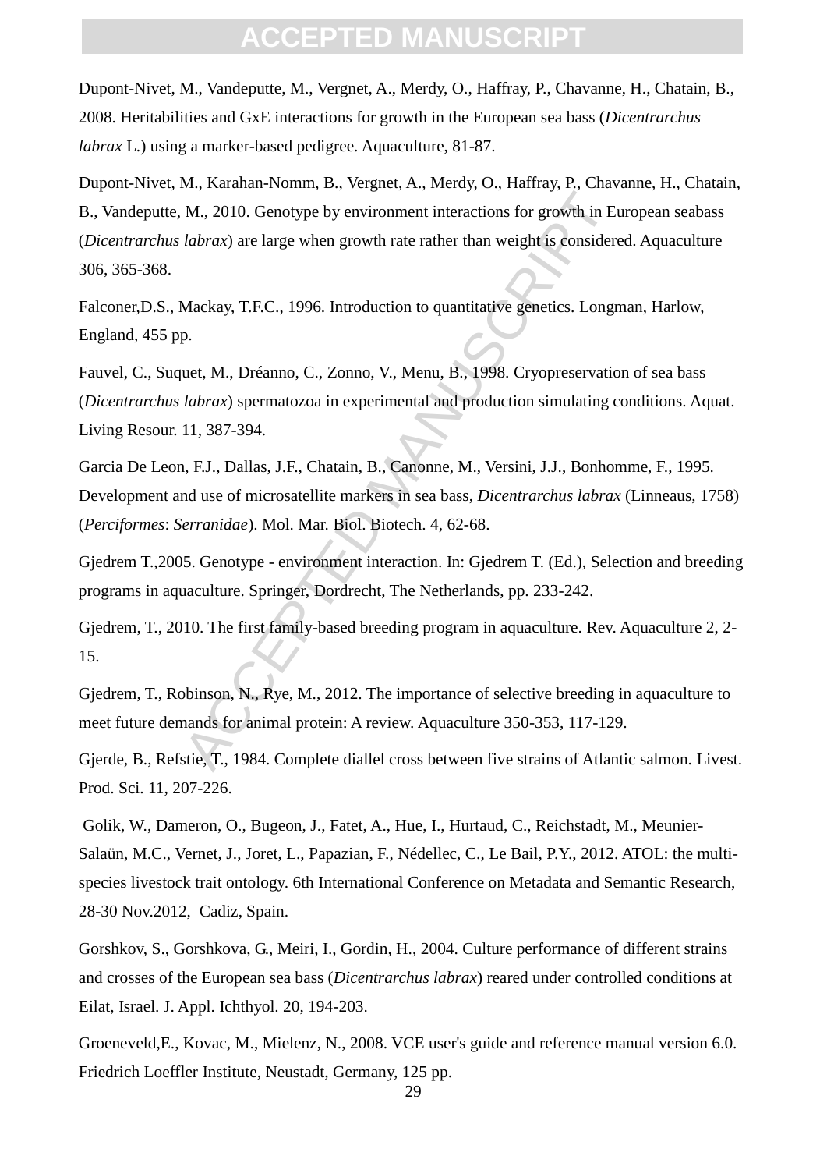Dupont-Nivet, M., Vandeputte, M., Vergnet, A., Merdy, O., Haffray, P., Chavanne, H., Chatain, B., 2008. Heritabilities and GxE interactions for growth in the European sea bass (*Dicentrarchus labrax* L.) using a marker-based pedigree. Aquaculture, 81-87.

M., 2010. Genotype by environment interactions for growth in Et<br> *labrax*) are large when growth rate rather than weight is considered<br> *labrax*) are large when growth rate rather than weight is considered<br>
Mackay, T.F.C., Dupont-Nivet, M., Karahan-Nomm, B., Vergnet, A., Merdy, O., Haffray, P., Chavanne, H., Chatain, B., Vandeputte, M., 2010. Genotype by environment interactions for growth in European seabass (*Dicentrarchus labrax*) are large when growth rate rather than weight is considered. Aquaculture 306, 365-368.

Falconer,D.S., Mackay, T.F.C., 1996. Introduction to quantitative genetics. Longman, Harlow, England, 455 pp.

Fauvel, C., Suquet, M., Dréanno, C., Zonno, V., Menu, B., 1998. Cryopreservation of sea bass (*Dicentrarchus labrax*) spermatozoa in experimental and production simulating conditions. Aquat. Living Resour. 11, 387-394.

Garcia De Leon, F.J., Dallas, J.F., Chatain, B., Canonne, M., Versini, J.J., Bonhomme, F., 1995. Development and use of microsatellite markers in sea bass, *Dicentrarchus labrax* (Linneaus, 1758) (*Perciformes*: *Serranidae*). Mol. Mar. Biol. Biotech. 4, 62-68.

Gjedrem T.,2005. Genotype - environment interaction. In: Gjedrem T. (Ed.), Selection and breeding programs in aquaculture. Springer, Dordrecht, The Netherlands, pp. 233-242.

Gjedrem, T., 2010. The first family-based breeding program in aquaculture. Rev. Aquaculture 2, 2- 15.

Gjedrem, T., Robinson, N., Rye, M., 2012. The importance of selective breeding in aquaculture to meet future demands for animal protein: A review. Aquaculture 350-353, 117-129.

Gjerde, B., Refstie, T., 1984. Complete diallel cross between five strains of Atlantic salmon. Livest. Prod. Sci. 11, 207-226.

Golik, W., Dameron, O., Bugeon, J., Fatet, A., Hue, I., Hurtaud, C., Reichstadt, M., Meunier-Salaün, M.C., Vernet, J., Joret, L., Papazian, F., Nédellec, C., Le Bail, P.Y., 2012. ATOL: the multispecies livestock trait ontology. 6th International Conference on Metadata and Semantic Research, 28-30 Nov.2012, Cadiz, Spain.

Gorshkov, S., Gorshkova, G., Meiri, I., Gordin, H., 2004. Culture performance of different strains and crosses of the European sea bass (*Dicentrarchus labrax*) reared under controlled conditions at Eilat, Israel. J. Appl. Ichthyol. 20, 194-203.

Groeneveld,E., Kovac, M., Mielenz, N., 2008. VCE user's guide and reference manual version 6.0. Friedrich Loeffler Institute, Neustadt, Germany, 125 pp.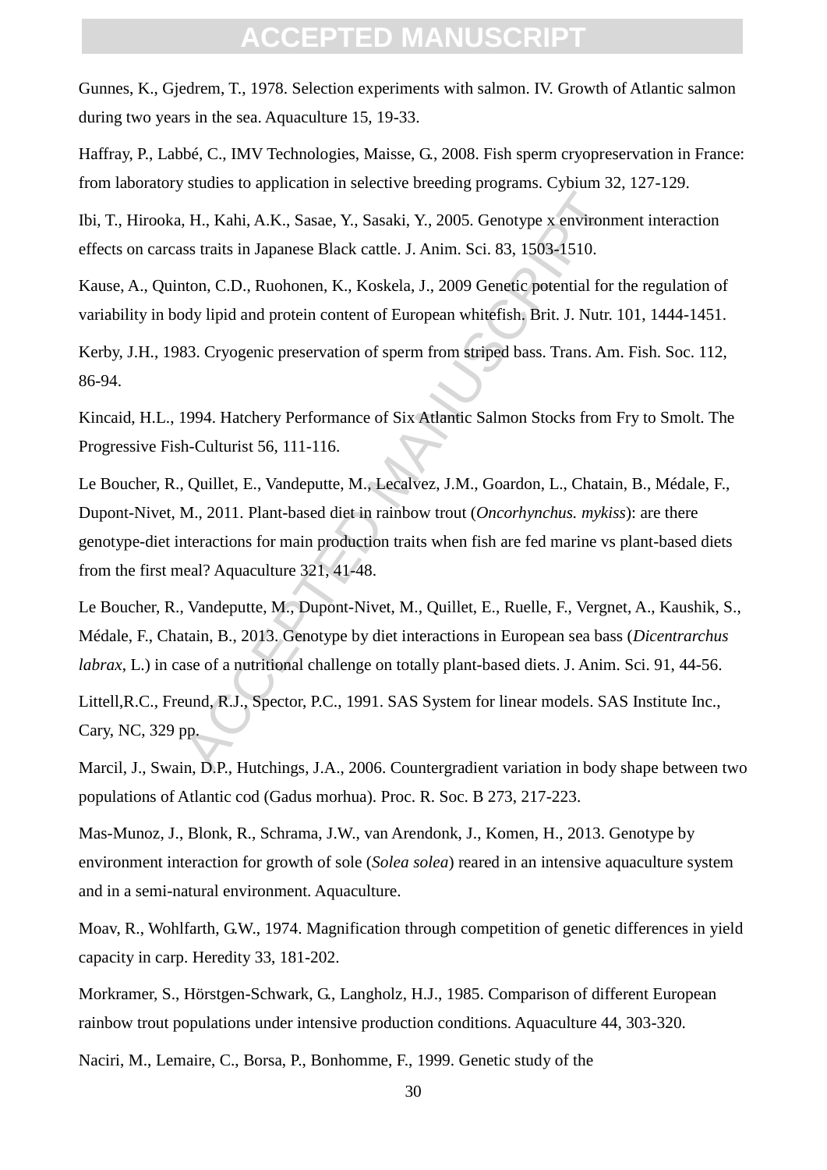Gunnes, K., Gjedrem, T., 1978. Selection experiments with salmon. IV. Growth of Atlantic salmon during two years in the sea. Aquaculture 15, 19-33.

Haffray, P., Labbé, C., IMV Technologies, Maisse, G., 2008. Fish sperm cryopreservation in France: from laboratory studies to application in selective breeding programs. Cybium 32, 127-129.

Ibi, T., Hirooka, H., Kahi, A.K., Sasae, Y., Sasaki, Y., 2005. Genotype x environment interaction effects on carcass traits in Japanese Black cattle. J. Anim. Sci. 83, 1503-1510.

Kause, A., Quinton, C.D., Ruohonen, K., Koskela, J., 2009 Genetic potential for the regulation of variability in body lipid and protein content of European whitefish. Brit. J. Nutr. 101, 1444-1451.

Kerby, J.H., 1983. Cryogenic preservation of sperm from striped bass. Trans. Am. Fish. Soc. 112, 86-94.

Kincaid, H.L., 1994. Hatchery Performance of Six Atlantic Salmon Stocks from Fry to Smolt. The Progressive Fish-Culturist 56, 111-116.

THET A.K., Sasae, Y., Sasaki, Y., 2005. Genotype x environm<br>
iss traits in Japanese Black cattle. J. Anim. Sci. 83, 1503-1510.<br>
1100, C.D., Ruohonen, K., Koskela, J., 2009 Genetic potential for<br>
ody lipid and protein conte Le Boucher, R., Quillet, E., Vandeputte, M., Lecalvez, J.M., Goardon, L., Chatain, B., Médale, F., Dupont-Nivet, M., 2011. Plant-based diet in rainbow trout (*Oncorhynchus. mykiss*): are there genotype-diet interactions for main production traits when fish are fed marine vs plant-based diets from the first meal? Aquaculture 321, 41-48.

Le Boucher, R., Vandeputte, M., Dupont-Nivet, M., Quillet, E., Ruelle, F., Vergnet, A., Kaushik, S., Médale, F., Chatain, B., 2013. Genotype by diet interactions in European sea bass (*Dicentrarchus labrax*, L.) in case of a nutritional challenge on totally plant-based diets. J. Anim. Sci. 91, 44-56.

Littell,R.C., Freund, R.J., Spector, P.C., 1991. SAS System for linear models. SAS Institute Inc., Cary, NC, 329 pp.

Marcil, J., Swain, D.P., Hutchings, J.A., 2006. Countergradient variation in body shape between two populations of Atlantic cod (Gadus morhua). Proc. R. Soc. B 273, 217-223.

Mas-Munoz, J., Blonk, R., Schrama, J.W., van Arendonk, J., Komen, H., 2013. Genotype by environment interaction for growth of sole (*Solea solea*) reared in an intensive aquaculture system and in a semi-natural environment. Aquaculture.

Moav, R., Wohlfarth, G.W., 1974. Magnification through competition of genetic differences in yield capacity in carp. Heredity 33, 181-202.

Morkramer, S., Hörstgen-Schwark, G., Langholz, H.J., 1985. Comparison of different European rainbow trout populations under intensive production conditions. Aquaculture 44, 303-320.

Naciri, M., Lemaire, C., Borsa, P., Bonhomme, F., 1999. Genetic study of the